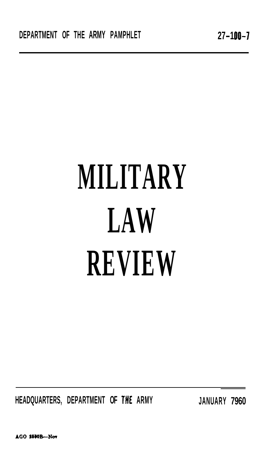**HEADQUARTERS, DEPARTMENT OF TflE ARMY JANUARY 7960** 

AGO 1550B-Nov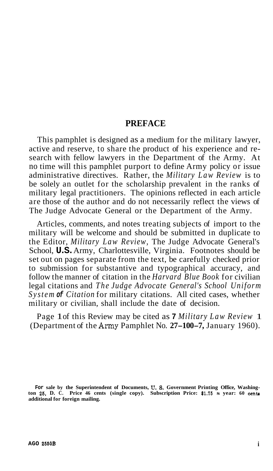#### **PREFACE**

This pamphlet is designed as a medium for the military lawyer, active and reserve, to share the product of his experience and research with fellow lawyers in the Department of the Army. At no time will this pamphlet purport to define Army policy or issue administrative directives. Rather, the *Military Law Review* is to be solely an outlet for the scholarship prevalent in the ranks of military legal practitioners. The opinions reflected in each article are those of the author and do not necessarily reflect the views of The Judge Advocate General or the Department of the Army.

Articles, comments, and notes treating subjects of import to the military will be welcome and should be submitted in duplicate to the Editor, *Military Law Review,* The Judge Advocate General's School, **U.S.** Army, Charlottesville, Virginia. Footnotes should be set out on pages separate from the text, be carefully checked prior to submission for substantive and typographical accuracy, and follow the manner of citation in the *Harvard Blue Book* for civilian legal citations and *The Judge Advocate General's School Uniform System of Citation* for military citations. All cited cases, whether military or civilian, shall include the date of decision.

Page 1 of this Review may be cited as **7** *Military Law Review* 1 (Department of the Amy Pamphlet No. **27-100-7,** January 1960).

For sale by the Superintendent of Documents, U. S. Government Printing Office, Washington 25, D. C. Price 46 cents (single copy). Subscription Price: \$1.75 s year: 60 cents **additional for foreign mailing.**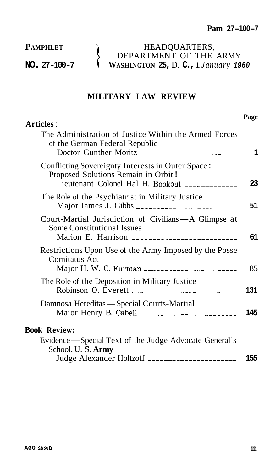**PAMPHLET** 

**NO. 27-100-7** 

HEADQUARTERS, Ì DEPARTMENT OF THE ARMY  $\mathcal{L}$ **WASHINGTON 25,** D. **C.,** 1 *January <sup>1960</sup>*

## **MILITARY LAW REVIEW**

| <b>Articles:</b>                                                                                                                             | Page |
|----------------------------------------------------------------------------------------------------------------------------------------------|------|
| The Administration of Justice Within the Armed Forces<br>of the German Federal Republic<br>Doctor Gunther Moritz ___________________________ | 1    |
| Conflicting Sovereignty Interests in Outer Space:<br>Proposed Solutions Remain in Orbit!<br>Lieutenant Colonel Hal H. Bookout ____________   | 23   |
| The Role of the Psychiatrist in Military Justice                                                                                             | 51   |
| Court-Martial Jurisdiction of Civilians-A Glimpse at<br><b>Some Constitutional Issues</b>                                                    | 61   |
| Restrictions Upon Use of the Army Imposed by the Posse<br>Comitatus Act                                                                      | 85   |
| The Role of the Deposition in Military Justice                                                                                               | 131  |
| Damnosa Hereditas - Special Courts-Martial                                                                                                   | 145  |
| <b>Book Review:</b>                                                                                                                          |      |
| Evidence - Special Text of the Judge Advocate General's                                                                                      |      |
| School, U.S. Army                                                                                                                            |      |
| Judge Alexander Holtzoff ______________________                                                                                              | 155  |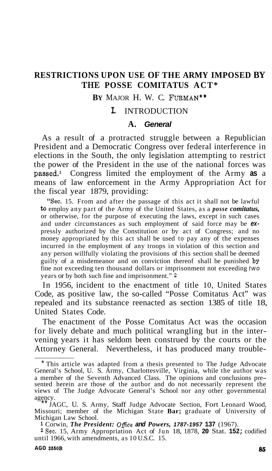# **RESTRICTIONS UPON USE OF THE ARMY IMPOSED BY THE POSSE COMITATUS ACT\***

#### **BY** MAJOR H. W. C. FURMAN\*\*

#### **I.** INTRODUCTION

#### **A.** *General*

As a result of a protracted struggle between a Republician President and a Democratic Congress over federal interference in elections in the South, the only legislation attempting to restrict the power of the President in the use of the national forces was p8ssed.l Congress limited the employment of the Army **as** a means of law enforcement in the Army Appropriation Act for the fiscal year 1879, providing:

"Sec. 15. From and after the passage of this act it shall not be lawful **to** employ any part of the Army of the United States, as a *posse comitatus,*  or otherwise, for the purpose of executing the laws, except in such cases and under circumstances as such employment of said force may be *ex*pressly authorized by the Constitution or by act of Congress; and no money appropriated by this act shall be used to pay any of the expenses incurred in the employment of any troops in violation of this section and any person willfully violating the provisions of this section shall be deemed guilty of a misdemeanor and on conviction thereof shall be punished by fine not exceeding ten thousand dollars or imprisonment not exceeding *two*  years or by both such fine and imprisonment." **<sup>2</sup>**

In 1956, incident to the enactment of title 10, United States Code, as positive law, the so-called "Posse Comitatus Act" was repealed and its substance reenacted as section 1385 of title 18, United States Code.

The enactment of the Posse Comitatus Act was the occasion for lively debate and much political wrangling but in the intervening years it has seldom been construed by the courts or the Attorney General. Nevertheless, it has produced many trouble-

<sup>\*</sup> This article was adapted from a thesis presented to The Judge Advocate General's School, U. S. Army, Charlottesville, Virginia, while the author was a member of the Seventh Advanced Class. The opinions and conclusions pre- sented herein are those of the author and do not necessarily represent the views of The Judge Advocate General's School nor any other governmental

agency.<br>\*\* JAGC, U. S. Army, Staff Judge Advocate Section, Fort Leonard Wood, Missouri; member of the Michigan State **Bar;** graduate of University of Michigan Law School.

**<sup>1</sup>** Corwin, *The President: Ofice and Powers, 1787-1957* **137** (1967).

**<sup>2</sup>**Sec. 15, Army Appropriation Act of Jun 18, 1878, **20** Stat. **152;** codified until 1966, with amendments, as 10 U.S.C. 15.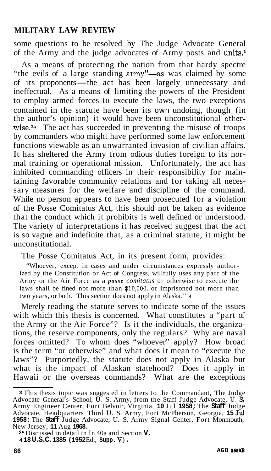some questions to be resolved by The Judge Advocate General of the Army and the judge advocates of Army posts and units.<sup>3</sup>

As a means of protecting the nation from that hardy spectre "the evils of a large standing army"-as was claimed by some As a means of protecting the nation from that hardy spectre<br>
"the evils of a large standing army"—as was claimed by some<br>
of its proponents—the act has been largely unnecessary and<br>
ineffectual. As a means of limiting the ineffectual. As a means of limiting the powers of the President to employ armed forces to execute the laws, the two exceptions contained in the statute have been its own undoing, though (in the author's opinion) it would have been unconstitutional otherwise.<sup>3a</sup> The act has succeeded in preventing the misuse of troops by commanders who might have performed some law enforcement functions viewable as an unwarranted invasion of civilian affairs. It has sheltered the Army from odious duties foreign to its normal training or operational mission. Unfortunately, the act has inhibited commanding officers in their responsibility for maintaining favorable community relations and for taking all necessary measures for the welfare and discipline of the command. While no person appears to have been prosecuted for a violation of the Posse Comitatus Act, this should not be taken as evidence that the conduct which it prohibits is well defined or understood. The variety of interpretations it has received suggest that the act is so vague and indefinite that, as a criminal statute, it might be unconstitutional.

The Posse Comitatus Act, in its present form, provides:

"Whoever, except in cases and under circumstances expressly authorized by the Constitution or Act of Congress, willfully uses any part of the Army or the Air Force as a *posse comitatus* or otherwise to execute the laws shall be fined not more than **\$10,000,** or imprisoned not more than two years, or both. This section does not apply in Alaska.'' **<sup>4</sup>**

Merely reading the statute serves to indicate some of the issues with which this thesis is concerned. What constitutes a "part of the Army or the Air Force"? Is it the individuals, the organizations, the reserve components, only the regulars? Why are naval forces omitted? To whom does "whoever" apply? How broad is the term "or otherwise" and what does it mean to "execute the laws"? Purportedly, the statute does not apply in Alaska but what is the impact of Alaskan statehood? Does it apply in Hawaii or the overseas commands? What are the exceptions

**<sup>8</sup>**This thesis topic was suggested in letters to the Commandant, The Judge Advocate General's School, U. S. Army, from the Staff Judge Advocate, **U.** *S*  Army Engineer Center, Fort Belvoir, Virginia, **10** Jul **1958;** The **Staff** Judge Advocate, Headquarters Third U. S. Army, Fort McPherson, Georgia, **15** Jd **1958;** The **Staff** Judge Advocate, U. S. Army Signal Center, Fort Monmouth, New Jersey, **11** Aug **1968.** 

**<sup>8&#</sup>x27;** Discussed in detail in fn 40a and Section **V. 4 18 U.S.C. 1385 (1952** Ed., **Supp. V)** .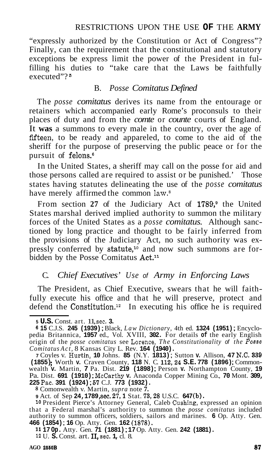"expressly authorized by the Constitution or Act of Congress"? Finally, can the requirement that the constitutional and statutory exceptions be express limit the power of the President in fulfilling his duties to "take care that the Laws be faithfully executed"?<sup>5</sup>

#### B. *Posse Comitatus Defined*

The *posse comitatus* derives its name from the entourage or retainers which accompanied early Rome's proconsuls to their places of duty and from the *comte* or *counte* courts of England. It **was** a summons to every male in the country, over the age of fifteen, to be ready and appareled, to come to the aid of the sheriff for the purpose of preserving the public peace or for the pursuit of felons.<sup>6</sup>

In the United States, a sheriff may call on the posse for aid and those persons called are required to assist or be punished.' Those states having statutes delineating the use of the *posse comitatus*  have merely affirmed the common law.<sup>8</sup>

From section 27 of the Judiciary Act of 1789,<sup>9</sup> the United States marshal derived implied authority to summon the military forces of the United States as a *posse comitatus.* Although sanctioned by long practice and thought to be fairly inferred from the provisions of the Judiciary Act, no such authority was expressly conferred by statute,<sup>10</sup> and now such summons are forbidden by the Posse Comitatus Act.<sup>11</sup>

### C. *Chief Executives' Use of Army in Enforcing Laws*

The President, as Chief Executive, swears that he will faithfully execute his office and that he will preserve, protect and defend the Constitution.<sup>12</sup> In executing his office he is required

**<sup>8</sup>**Comonwealth v. Martin, *supra* note **7.** 

**<sup>9</sup>**Act. of Sep **24,1789,** sec. **27,l** Stat. **73,28** U.S.C. **647 (b).** 

**<sup>10</sup>**President Pierce's Attorney General, Caleb Cushing, expressed an opinion that a Federal marshal's authority to summon the *posse comitatus* included authority to summon officers, soldiers, sailors and marines. **6** Op. Atty. Gen. **466 (1854)** ; **16** Op. Atty. Gen. **162 (1878).** 

**<sup>11</sup>17 Op.** Atty. Gen. **71 (1881)** ; **17** Op. Atty. Gen. **242 (1881).** 

**<sup>12</sup>**U. **S.** Const. art. **11,** sec. **1,** cl. 8.

**<sup>5</sup>U.S.** Const. art. 11, sec. **3. <sup>6</sup>15** C.J.S. **245 (1939)** ; Black, *Law Dictionary,* 4th ed. **1324 (1951)** ; Encyclo- pedia Britannica, **1957** ed., Vol. XVIII, **302.** For details **of** the early English origin of the *posse comitatus* see Lorence, *The Constitutionality of the Posse Comitatus Act,* 8 Kansas City L. Rev. **164 (1940).** 

**<sup>7</sup>**Coyles v. Hurtin, **10** Johns. **85** (N.Y. **1813)** ; Sutton **v.** Allison, **47** N.C. **<sup>339</sup> (1855)** ; Worth **v.** Craven County, **118** N. C. **112,24 S.E. 778 (1896)** ; Common- wealth **v.** Martin, **7** Pa. Dist. **219 (1898)** ; Person **v.** Northampton County, **<sup>19</sup>** Pa. Dist. **691 (1910)** ; McCarthy **v.** Anaconda Copper Mining Co., **70** Mont. **309, <sup>225</sup>**Pac. **391 (1924)** ; **67** C.J. **773 (1932).**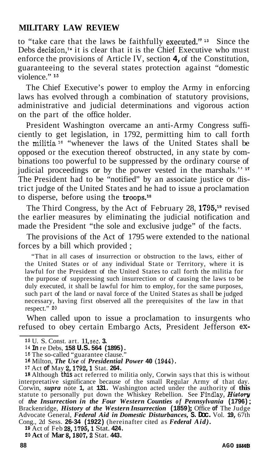to "take care that the laws be faithfully executed."13 Since the Debs decision, $14$  it is clear that it is the Chief Executive who must enforce the provisions of Article IV, section **4,** of the Constitution, guaranteeing to the several states protection against "domestic violence."<sup>15</sup>

The Chief Executive's power to employ the Army in enforcing laws has evolved through a combination of statutory provisions, administrative and judicial determinations and vigorous action on the part of the office holder.

President Washington overcame an anti-Army Congress sufficiently to get legislation, in 1792, permitting him to call forth the militia<sup>16</sup> "whenever the laws of the United States shall be opposed or the execution thereof obstructed, in any state by combinations too powerful to be suppressed by the ordinary course of judicial proceedings or by the power vested in the marshals."<sup>17</sup> The President had to be "notified" by an associate justice or district judge of the United States and he had to issue a proclamation to disperse, before using the troops.18

The Third Congress, by the Act of February 28, **1795,19** revised the earlier measures by eliminating the judicial notification and made the President "the sole and exclusive judge" of the facts.

The provisions of the Act of 1795 were extended to the national forces by a bill which provided ;

"That in all cases of insurrection or obstruction to the laws, either of the United States or of any individual State or Territory, where it is lawful for the President of the United States to call forth the militia for the purpose of suppressing such insurrection or of causing the laws to be duly executed, it shall be lawful for him to employ, for the same purposes, such part of the land or naval force of the United States as shall be judged necessary, having first observed all the prerequisites of the law in that respect." **<sup>20</sup>**

When called upon to issue a proclamation to insurgents who refused to obey certain Embargo Acts, President Jefferson **ex-**

**<sup>18</sup>**Although **this** act referred to militia only, Corwin says that this is without interpretative significance because of the small Regular Army of that day. Corwin, *supra* note **1,** at **131.** Washington acted under the authority of **this**  statute to personally put down the Whiskey Rebellion. See Findlay, *Histoyl*  of *the Insurrection in the Four Western Counties of Pennsylvania* **(1796)** ; Brackenridge, *History of the Western Insurrection* **(1859)** ; Office **of** The Judge Advocate General, *Federal Aid in Domestic Disturbances,* **S. Doc.** Vol. **19,** 67th Cong., 2d Sess. **26-34 (1922)** (hereinafter cited as *Federal Aid).* 

**<sup>19</sup>**Act of Feb **28,1795,l** Stat. **424.** 

20 Act of Mar 8, 1807, 2 Stat. 443.

**<sup>13</sup>**U. S. Const. art. 11, sec. **3.** 

**<sup>14</sup>In** re Debs, **158 U.S. 564 (1895).** 

**<sup>16</sup>**The so-called "guarantee clause."

**<sup>16</sup>**Milton, *The Use* of *Presidential Power* **40 (1944).** 

**<sup>17</sup>**Act **of** May **2,1792,l** Stat. **264.**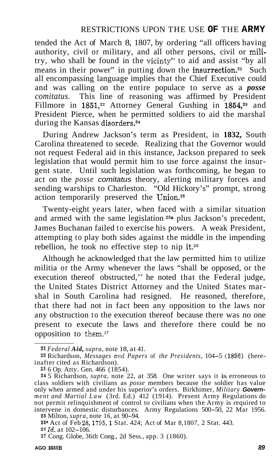tended the Act of March 8, 1807, by ordering "all officers having authority, civil or military, and all other persons, civil or militry, who shall be found in the vicinty" to aid and assist "by all means in their power" in putting down the insurrection.<sup>21</sup> Such all encompassing language implies that the Chief Executive could and was calling on the entire populace to serve as a *posse comitatus.* This line of reasoning was affirmed by President Fillmore in 1851,<sup>22</sup> Attorney General Gushing in 1854,<sup>23</sup> and President Pierce, when he permitted soldiers to aid the marshal during the Kansas disorders.<sup>24</sup>

During Andrew Jackson's term as President, in **1832,** South Carolina threatened to secede. Realizing that the Governor would not request Federal aid in this instance, Jackson prepared to seek legislation that would permit him to use force against the insurgent state. Until such legislation was forthcoming, he began to act on the *posse comitatus* theory, alerting military forces and sending warships to Charleston. "Old Hickory's" prompt, strong action temporarily preserved the Union.25

Twenty-eight years later, when faced with a similar situation and armed with the same legislation **25a** plus Jackson's precedent, James Buchanan failed to exercise his powers. A weak President, attempting to play both sides against the middle in the impending rebellion, he took no effective step to nip it.<sup>26</sup>

Although he acknowledged that the law permitted him to utilize militia or the Army whenever the laws "shall be opposed, or the execution thereof obstructed,'' he noted that the Federal judge, the United States District Attorney and the United States marshal in South Carolina had resigned. He reasoned, therefore, that there had not in fact been any opposition to the laws nor any obstruction to the execution thereof because there was no one present to execute the laws and therefore there could be no opposition to them. $27$ 

**<sup>25</sup>**Milton, *supra,* note 16, at 90-94.

25<sup>a</sup> Act of Feb 28, 1795, 1 Stat. 424; Act of Mar 8,1807, 2 Stat. 443.

**<sup>26</sup>***Id.* at 102-106.

**<sup>21</sup>***Federal Aid, supra,* note 18, at 41.

**<sup>22</sup>** Richardson, *Messages aiid Papers* of *the Presidents,* 104-5 (1896) (hereinafter cited as Richardson).

**<sup>23</sup>** 6 Op. Atty. Gen. 466 (1854).

**<sup>24</sup>**5 Richardson, *supra,* note 22, at 358. One writer says it is erroneous to class soldiers with civilians as *posse* members because the soldier has value only when armed and under his superior's orders. Birkhimer, *Military Government and Martial Law* (3rd. Ed.) 412 (1914). Present Army Regulations do not permit relinquishment of control to civilians when the Army is required to intervene in domestic disturbances. Army Regulations 500-50, 22 Mar 1956.

**<sup>27</sup>**Cong. Globe, 36th Cong., 2d Sess., app. 3 (1860).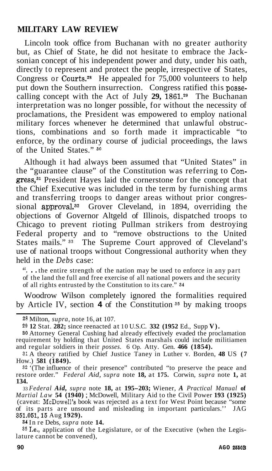Lincoln took office from Buchanan with no greater authority but, as Chief of State, he did not hesitate to embrace the Jacksonian concept of his independent power and duty, under his oath, directly to represent and protect the people, irrespective of States, Congress or Courts.28 He appealed for 75,000 volunteers to help put down the Southern insurrection. Congress ratified this possecalling concept with the Act of July 29, 1861.<sup>29</sup> The Buchanan interpretation was no longer possible, for without the necessity of proclamations, the President was empowered to employ national military forces whenever he determined that unlawful obstructions, combinations and so forth made it impracticable "to enforce, by the ordinary course of judicial proceedings, the laws of the United States." *<sup>30</sup>*

Although it had always been assumed that "United States" in the "guarantee clause" of the Constitution was referring to Congress,<sup>31</sup> President Hayes laid the cornerstone for the concept that the Chief Executive was included in the term by furnishing arms and transferring troops to danger areas without prior congressional approval.<sup>32</sup> Grover Cleveland, in 1894, overriding the objections of Governor Altgeld of Illinois, dispatched troops to Chicago to prevent rioting Pullman strikers from destroying Federal property and to "remove obstructions to the United States mails."<sup>33</sup> The Supreme Court approved of Cleveland's use of national troops without Congressional authority when they held in the *Debs* case:

". . . the entire strength of the nation may be used to enforce in any part of the land the full and free exercise of all national powers and the security of all rights entrusted by the Constitution to its care." **34** 

Woodrow Wilson completely ignored the formalities required by Article IV, section **4** of the Constitution **35** by making troops

**34** In re Debs, *supra* note **14.** 

 $35$  I.e., application of the Legislature, or of the Executive (when the Legis-<br>lature cannot be convened).

<sup>28</sup>Milton, *supra,* note 16, at 107.

**<sup>29</sup>12** Stat. **282;** since reenacted at 10 U.S.C. **332 (1952** Ed., Supp **V).** 

**<sup>30</sup>** Attorney General Cushing had already effectively evaded the proclamation requirement by holding that United States marshals could include militiamen and regular soldiers in their *posses.* 6 Op. Atty. Gen. **466 (1854).** 

<sup>31</sup> A theory ratified by Chief Justice Taney in Luther v. Borden, **48** US **(7**  How.) **581 (1849).** 

**<sup>32</sup>** '(The influence of their presence" contributed "to preserve the peace and restore order." *Federal Aid, supra* note **18,** at **175.** Corwin, *supra* note **1,** at **134.** 

<sup>33</sup>*Federal Aid, supra* note **18,** at **195-203;** Wiener, *A Practical Manual* **of**  *Martial Law* **54 (1940)** ; McDowell, Military Aid to the Civil Power **193 (1925)**  (caveat: McDowell's book was rejected as a text for West Point because "some of its parts are unsound and misleading in important particulars.'' JAG **351.051,15** Aug **1929).**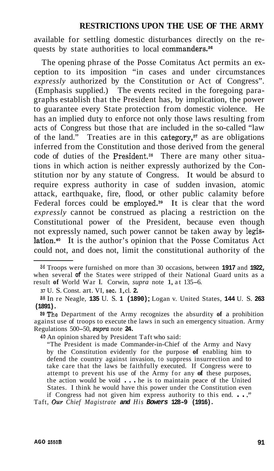available for settling domestic disturbances directly on the requests by state authorities to local commanders.<sup>36</sup>

The opening phrase of the Posse Comitatus Act permits an exception to its imposition "in cases and under circumstances *expressly* authorized by the Constitution or Act of Congress". (Emphasis supplied.) The events recited in the foregoing paragraphs establish that the President has, by implication, the power to guarantee every State protection from domestic violence. He has an implied duty to enforce not only those laws resulting from acts of Congress but those that are included in the so-called "law of the land." Treaties are in this category, $37$  as are obligations inferred from the Constitution and those derived from the general code of duties of the President.<sup>38</sup> There are many other situations in which action is neither expressly authorized by the Constitution nor by any statute of Congress. It would be absurd to require express authority in case of sudden invasion, atomic attack, earthquake, fire, flood, or other public calamity before Federal forces could be employed.<sup>39</sup> It is clear that the word *expressly* cannot be construed as placing a restriction on the Constitutional power of the President, because even though not expressly named, such power cannot be taken away by legislation.<sup>40</sup> It is the author's opinion that the Posse Comitatus Act could not, and does not, limit the constitutional authority of the

**40** An opinion shared by President Taft who said:

"The President is made Commander-in-Chief of the Army and Navy by the Constitution evidently for the purpose **of** enabling him to defend the country against invasion, to suppress insurrection and to take care that the laws be faithfully executed. If Congress were to attempt to prevent his use of the Army for any **of** these purposes, the action would be void . . . he is to maintain peace of the United States. I think he would have this power under the Constitution even

if Congress had not given him express authority to this end. . . ." Taft, *Our Chief Magistrate and His Bowers* **128-9 (1916).** 

**<sup>36</sup>**Troops were furnished on more than 30 occasions, between **1917** and **1922,**  when several **of** the States were stripped of their National Guard units as a result **of** World War I. Corwin, *supra* note 1, at 135-6.

**<sup>37</sup>**U. S. Const. art. VI, sec. 1, cl. **2.** 

**<sup>38</sup>**In re Neagle, **135** U. S. **1 (1890)** ; Logan v. United States, **144** U. S. **<sup>263</sup> (1891).** 

<sup>8</sup>QThe Department of the Army recognizes the absurdity **of** a prohibition against use of troops to execute the laws in such an emergency situation. Army Regulations 500-50, *supra* note **24.**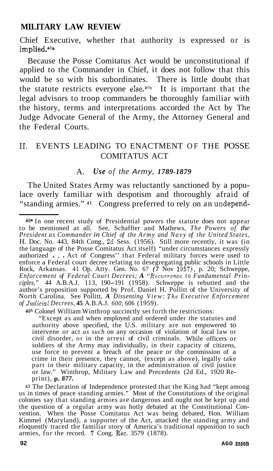Chief Executive, whether that authority is expressed or is implied.40a

Because the Posse Comitatus Act would be unconstitutional if applied to the Commander in Chief, it does not follow that this would be so with his subordinates. There is little doubt that the statute restricts everyone else. $40b$  It is important that the legal advisors to troop commanders be thoroughly familiar with the history, terms and interpretations accorded the Act by The Judge Advocate General of the Army, the Attorney General and the Federal Courts.

## 11. EVENTS LEADING TO ENACTMENT OF THE POSSE COMITATUS ACT

#### A. *Use of the Army, 1789-1879*

The United States Army was reluctantly sanctioned by a populace overly familiar with despotism and thoroughly afraid of "standing armies." **41** Congress preferred to rely on an undepend-

**40b** Colonel William Winthrop succinctly set forth the restrictions:

"Except as and when employed and ordered under the statutes and authority above specified, the U.S. military are not empowered to intervene or act *as such* on any occasion of violation of local law or intervene or act *as such* on any occasion of violation of local law or civil disorder, or in the arrest of civil criminals. While officers or soldiers of the Army may individually, in their capacity of citizens, use force to prevent a breach of the peace or the commission of a crime in their presence, they cannot, (except as above), legally take part in their military capacity, in the administration of civil justice or law." Winthrop, Military Law and Precedents (2d Ed., 1920 Reprint), **p.** *877.* 

**41** The Declaration of Independence protested that the King had "kept among us in times of peace standing armies." Most of the Constitutions of the original colonies say that standing armies are dangerous and ought not be kept up and the question of a regular army was hotly debated at the Constitutional Convention. When the Posse Comitatus Act was being debated, Hon. William Kimmel (Maryland), a supporter of the Act, attacked the standing army and eloquently traced the familiar story of America's traditional opposition to such armies, for the record. **7** Cong. Rec. 3579 (1878).

**<sup>40.</sup>** In one recent study of Presidential powers the statute does not appear to be mentioned at all. See, Schaffter and Mathews, *The Powers of the President as Commander in Chief of the Army and Navy of the United States,*  H. Doc. No. 443, 84th Cong., 2d Sess. (1956). Still more recently, it was (in the language of the Posse Comitatus Act itself) "under circumstances expressly authorized . , . Act of Congress'' that Federal military forces were used to enforce a Federal court decree relating to desegregating public schools in Little Rock, Arkansas. 41 Op. Atty. Gen. No. 67 *(7* Nov 1957), p. 20; Schweppe, Enforcement of Federal Court Decrees; A "Recurrence to Fundamental Principles," 44 A.B.A.J. 113, 190–191 (1958). Schweppe is rebutted and the author's proposition supported by Prof. Daniel H. Pollitt of the University of North Carolina. See Pollitt, *A Dissenting View: The Executive Enforcement of Judicial Decrees,* **45** A.B.A.J. *600,* 606 (1959).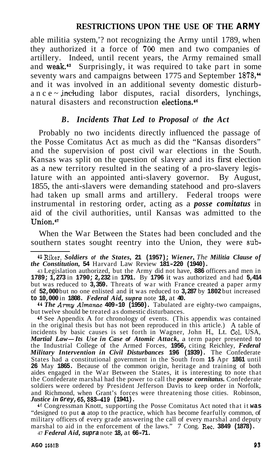able militia system,'? not recognizing the Army until 1789, when they authorized it a force of 700 men and two companies of artillery. Indeed, until recent years, the Army remained small and weak.<sup>43</sup> Surprisingly, it was required to take part in some seventy wars and campaigns between 1775 and September 1878.<sup>44</sup> and it was involved in an additional seventy domestic disturbance  $\sim$  including labor disputes, racial disorders, lynchings, natural disasters and reconstruction elections.<sup>46</sup>

## *B. Incidents That Led to Proposal of the Act*

Probably no two incidents directly influenced the passage of the Posse Comitatus Act as much as did the "Kansas disorders" and the supervision of post civil war elections in the South. Kansas was split on the question of slavery and its first election as a new territory resulted in the seating of a pro-slavery legislature with an appointed anti-slavery governor. By August, 1855, the anti-slavers were demanding statehood and pro-slavers had taken up small arms and artillery. Federal troops were instrumental in restoring order, acting as a *posse comitatus* in aid of the civil authorities, until Kansas was admitted to the Union.4\*

When the War Between the States had been concluded and the southern states sought reentry into the Union, they were sub-

<sup>44</sup>*The Amy Almanac* **409-10 (1950).** Tabulated are eighty-two campaigns, but twelve should be treated as domestic disturbances.

45 See Appendix A for chronology of events. (This appendix was contained in the original thesis but has not been reproduced in this article.) A table of incidents by basic causes is set forth in Wagner, John H., Lt. Col. USA, *Martial Law-Its Use in Case of Atomic Attack,* a term paper presented to the Industrial College of the Armed Forces, **1956,** citing Reichley, *Federal Military Intervention in Civil Disturbances* **196 (1939).** The Confederate States had a constitutional government in the South from **15** Apr **1861** until **26** May **1865.** Because of the common origin, heritage and training of both aides engaged in the War Between the States, it is interesting to note that the Confederate marshal had the power to call the *posse cornitatus.* Confederate soldiers were ordered by President Jefferson Davis to keep order in Norfolk, and Richmond, when Grant's forces were threatening those cities. Robinson, *Justice in Grey,* **65,583-419 (1941).** 

46 Congressman Knott, supporting the Posse Comitatus Act noted that it **was**  "designed to put **a** atop to the practice, which has become fearfully common, of military officers of every grade answering the call of every marshal and deputy marshal to aid in the enforcement of the laws." 7 Cong. Rec. 3849 (1878).

47 *Federal Aid, supra* note **18,** at **66-71.** 

<sup>42</sup>Riker, *Soldiers of the States,* **21 (1957);** *Wiener, The Militia Clause of the Constitution,* **54** Harvard Law Review **181-220 (1940).** 

<sup>43</sup> Legislation authorized, but the Army did not have, **886** officers and men in **1789; 1,273** in **1790; 2,232** in **1791.** By **1796** it was authorized and had **5,414**  but was reduced to **3,359.** Threats of war with France created a paper army of **52,000** but no one enlisted and it was reduced to **3,287** by **1802** but increased **to 10,000** in **1808.** *Federal Aid, supra* note **18,** at **40.**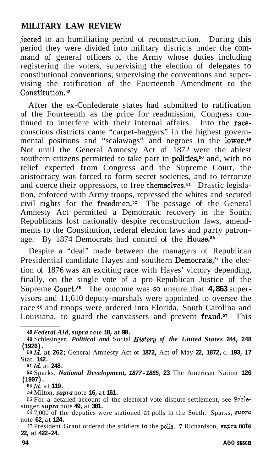jected to an humiliating period of reconstruction. During this period they were divided into military districts under the command of general officers of the Army whose duties including registering the voters, supervising the election of delegates to constitutional conventions, supervising the conventions and supervising the ratification of the Fourteenth Amendment to the Constitution.<sup>48</sup>

After the ex-Confederate states had submitted to ratification of the Fourteenth as the price for readmission, Congress continued to interfere with their internal affairs. Into the raceconscious districts came "carpet-baggers" in the highest governmental positions and "scalawags" and negroes in the lower.<sup>49</sup> Not until the General Amnesty Act of 1872 were the ablest southern citizens permitted to take part in politics,<sup>50</sup> and, with no relief expected from Congress and the Supreme Court, the aristocracy was forced to form secret societies, and to terrorize and coerce their oppressors, to free themselves.<sup>51</sup> Drastic legislation, enforced with Army troops, repressed the whites and secured civil rights for the freedmen.52 The passage of the General Amnesty Act permitted a Democratic recovery in the South. Republicans lost nationally despite reconstruction laws, amendments to the Constitution, federal election laws and party patronage. By 1874 Democrats had control of the House.<sup>53</sup>

Despite a "deal" made between the managers of Republican Presidential candidate Hayes and southern Democrats,<sup>54</sup> the election of 1876 was an exciting race with Hayes' victory depending, finally, on the single vote of a pro-Republican Justice of the Supreme Court.<sup>55</sup> The outcome was so unsure that **4,863** supervisors and 11,610 deputy-marshals were appointed to oversee the race **56** and troops were ordered into Florida, South Carolina and Louisiana, to guard the canvassers and prevent fraud.<sup>57</sup> This

**<sup>48</sup>***Federal Aid, supra* note **18,** at **90.** 

**<sup>49</sup>**Schlesinger, *Political and* Social *Histary of the United States* **244, 248 (1926).** 

*<sup>6</sup>OZd,* at **262;** General Amnesty Act of **1872,** Act **of** May **22, 1872,** C. **193, 17**  Stat. **142.** 

**<sup>51</sup>***Id.* at **248.** 

**<sup>62</sup>**Sparks, *National Development, 1877-1885,* **23** The American Nation **120**   $(1907)$ .<br><sup>53</sup> *Id.* at 119.

**<sup>63</sup>***Id.* at **119. 64** Milton, *supra* note **16,** at **161. 56** For a detailed account of the electoral vote dispute settlement, see Schlesinger, *supra* note **49,** at **301.** 

<sup>66&</sup>lt;sup>7</sup>,000 of the deputies were stationed at polls in the South. Sparks, *supra* note **62,** at **124.** 

**<sup>67</sup>**President Grant ordered the soldiers **to** the **polls. 7** Richardson, *mpra* **note 22,** at **422-24.**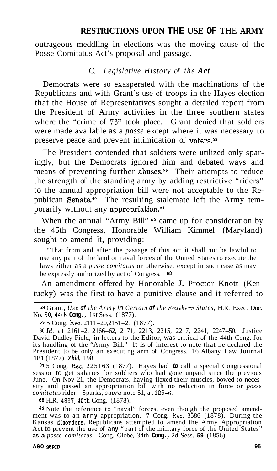outrageous meddling in elections was the moving cause of the Posse Comitatus Act's proposal and passage.

#### C. *Legislative History of the Act*

Democrats were so exasperated with the machinations of the Republicans and with Grant's use of troops in the Hayes election that the House of Representatives sought a detailed report from the President of Army activities in the three southern states where the "crime of **76"** took place. Grant denied that soldiers were made available as a *posse* except where it was necessary to preserve peace and prevent intimidation of voters.<sup>58</sup>

The President contended that soldiers were utilized only sparingly, but the Democrats ignored him and debated ways and means of preventing further **abuses**.<sup>59</sup> Their attempts to reduce the strength of the standing army by adding restrictive "riders" to the annual appropriation bill were not acceptable to the Republican Senate.<sup>60</sup> The resulting stalemate left the Army temporarily without any appropriation.<sup>61</sup>

When the annual "Army Bill" **62** came up for consideration by the 45th Congress, Honorable William Kimmel (Maryland) sought to amend it, providing:

"That from and after the passage of this act it shall not be lawful to use any part of the land or naval forces of the United States to execute the laws either as a *posse comitatus* or otherwise, except in such case as may be expressly authorized by act of Congress.'' *<sup>63</sup>*

An amendment offered by Honorable J. Proctor Knott (Kentucky) was the first to have a punitive clause and it referred to

**<sup>58</sup>**Grant, *Use of the Army in Certain of the Southern States,* H.R. Exec. Doc. No. 30,44th **Cong.,** 1st Sess. (1877).

**<sup>69</sup>**5 Cong. Rec. 2111-20,2151-2. (1877).

*6OZd.* at 2161-2, 2166-62, 2171, 2213, 2215, 2217, 2241, 2247-50. Justice David Dudley Field, in letters to the Editor, was critical of the 44th Cong. for its handling of the "Army Bill." It is of interest to note that he declared the President to be only an executing arm of Congress. 16 Albany Law Journal 181 (1877). *Zbid,* 198.

*<sup>61</sup>*5 Cong. Rec. 225163 (1877). Hayes had *to* call a special Congressional session to get salaries for soldiers who had gone unpaid since the previous June. On Nov 21, the Democrats, having flexed their muscles, bowed to neces-June. On Nov 21, the Democrats, having flexed their muscles, bowed to neces- sity and passed an appropriation bill with no reduction in force or *posse comitatus* rider. Sparks, *supra* note 51, at 125-6.

*<sup>62</sup>*H.R. 4867,45th Cong. (1878).

*63* Note the reference to "naval" forces, even though the proposed amendment was to an **army** appropriation. **7** Cong. Rec. 3586 (1878). During the Kansas disorders, Republicans attempted to amend the Army Appropriation<br>Act to prevent the use of any "part of the military force of the United States" **as a** *posse comitatus.* Cong. Globe, 34th **Cong.,** 2d Sess. **59** (1856).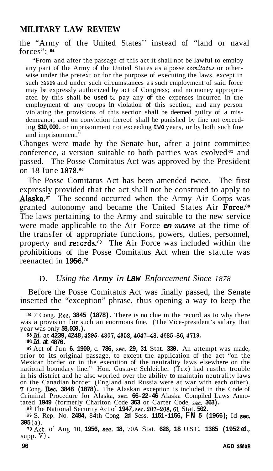the "Army of the United States'' instead of "land or naval forces":  $64$ 

"From and after the passage of this act it shall not be lawful to employ any part of the Army of the United States as a posse *comitatus* or otherwise under the pretext or for the purpose of executing the laws, except in such cases and under such circumstances as such employment of said force may be expressly authorized by act of Congress; and no money appropriated by this shall be **used** *to* pay any **of** the expenses incurred in the employment of any troops in violation of this section; and any person violating the provisions of this section shall be deemed guilty of a misdemeanor, and on conviction thereof shall be punished by fine not exceeding **\$10,000.** or imprisonment not exceeding **two** years, or by both such fine and imprisonment."

Changes were made by the Senate but, after a joint committee conference, a version suitable to both parties was evolved *65* and passed. The Posse Comitatus Act was approved by the President on 18 June **1878.66** 

The Posse Comitatus Act has been amended twice. The first expressly provided that the act shall not be construed to apply to Alaska.<sup>67</sup> The second occurred when the Army Air Corps was granted autonomy and became the United States Air Force.<sup>68</sup> The laws pertaining to the Army and suitable to the new service were made applicable to the Air Force **en** masse at the time of the transfer of appropriate functions, powers, duties, personnel, property and records.<sup>59</sup> The Air Force was included within the prohibitions of the Posse Comitatus Act when the statute was reenacted in 1956.<sup>70</sup>

## **D.** *Using the Army in Law Enforcement Since 1878*

Before the Posse Comitatus Act was finally passed, the Senate inserted the "exception" phrase, thus opening a way to keep the

**<sup>68</sup>**The National Security Act of **1947,** sec. **207-208,61** Stat. **502.** 

**<sup>64</sup>**7 Cong. Rec. **3845 (1878).** There is no clue in the record as to why there was a provision for such an enormous fine. (The Vice-president's salary that year was only **\$8,000.).** 

**<sup>65</sup>***Id.* at **4239,4248, 4295-4307,4358,4647-48,4685-86,4719.** 

*<sup>66</sup>Id.* **at 4876.** 

**<sup>67</sup>**Act of Jun **6, 1900,** c. **786,** sec. **29, 31** Stat. **330.** An attempt was made, prior to its original passage, to except the application of the act "on the Mexican border or in the execution of the neutrality laws elsewhere on the national boundary line." Hon. Gustave Schleicher (Tex) had rustler trouble in his district and he also worried over the ability to maintain neutrality laws on the Canadian border (England and Russia were at war with each other). **7** Cong. Rec. **3848 (1878).** The Alaskan exception is included in the Code of Criminal Procedure for Alaska, sec. **66-22-46** Alaska Compiled Laws Anno- tated **1949** (formerly Charlton Code **363** or Carter Code, sec. **363).** 

**<sup>69</sup>**S. Rep. No. **2484,** 84th Cong. **2d** Sess. **1151-1156, FN 5 (1966)** ; Id **sec. 305** (a).

<sup>70</sup>Act. of Aug 10, **1956, sec. 18,** 70A Stat. **626, 18** U.S.C. **1385 (1952 ed.,**  supp. **V)** .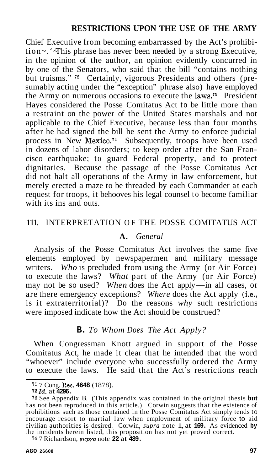Chief Executive from becoming embarrassed by the Act's prohibition~. '~This phrase has never been needed by a strong Executive, in the opinion of the author, an opinion evidently concurred in by one of the Senators, who said that the bill "contains nothing but truisms." **72** Certainly, vigorous Presidents and others (presumably acting under the "exception" phrase also) have employed the Army on numerous occasions to execute the  $Iaws$ <sup>73</sup> President Hayes considered the Posse Comitatus Act to be little more than a restraint on the power of the United States marshals and not applicable to the Chief Executive, because less than four months after he had signed the bill he sent the Army to enforce judicial process in New Mexico.<sup>74</sup> Subsequently, troops have been used in dozens of labor disorders; to keep order after the San Francisco earthquake; to guard Federal property, and to protect dignitaries. Because the passage of the Posse Comitatus Act did not halt all operations of the Army in law enforcement, but merely erected a maze to be threaded by each Commander at each request for troops, it behooves his legal counsel to become familiar with its ins and outs.

#### 111. INTERPRETATION OF THE POSSE COMITATUS ACT

## **A.** *General*

Analysis of the Posse Comitatus Act involves the same five elements employed by newspapermen and military message writers. *Who* is precluded from using the Army (or Air Force) to execute the laws? *What* part of the Army (or Air Force) may not be so used? When does the Act apply—in all cases, or are there emergency exceptions? *Where* does the Act apply (i.e., is it extraterritorial)? Do the reasons *why* such restrictions were imposed indicate how the Act should be construed?

#### **B.** *To Whom Does The Act Apply?*

When Congressman Knott argued in support of the Posse Comitatus Act, he made it clear that he intended that the word "whoever" include everyone who successfully ordered the Army to execute the laws. He said that the Act's restrictions reach

**<sup>74</sup>**7 Richardson, *suwa* note **22** at **489.** 

**<sup>71</sup>**7 Cong. Rec. **4648** (1878).

**<sup>72</sup>***Id.* at **4296.** 

**<sup>73</sup>**See Appendix B. (This appendix was contained in the original thesis **but**  has not been reproduced in this article.) Corwin suggests that the existence of prohibitions such as those contained in the Posse Comitatus Act simply tends to encourage resort to martial law when employment of military force to aid civilian authorities is desired. Corwin, *supra* note 1, at **169.** As evidenced **by**  the incidents herein listed, this proposition has not yet proved correct.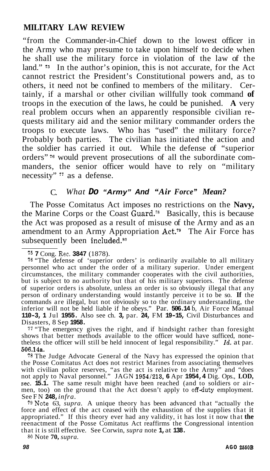"from the Commander-in-Chief down to the lowest officer in the Army who may presume to take upon himself to decide when he shall use the military force in violation of the law of the land."<sup>75</sup> In the author's opinion, this is not accurate, for the Act cannot restrict the President's Constitutional powers and, as to others, it need not be confined to members of the military. Certainly, if a marshal or other civilian willfully took command **of**  troops in the execution of the laws, he could be punished. **A** very real problem occurs when an apparently responsible civilian requests military aid and the senior military commander orders the troops to execute laws. Who has "used" the military force? Probably both parties. The civilian has initiated the action and the soldier has carried it out. While the defense of "superior orders" **76** would prevent prosecutions of all the subordinate commanders, the senior officer would have to rely on "military necessity" *i7* as a defense.

## C. *What Do "Army" And "Air Force" Mean?*

The Posse Comitatus Act imposes no restrictions on the **Navy,**  the Marine Corps or the Coast  $\tilde{G}$ uard.<sup>78</sup> Basically, this is because the Act was proposed as a result of misuse of the Army and as an amendment to an Army Appropriation Act.<sup>79</sup> The Air Force has subsequently been included.<sup>80</sup>

<sup>77</sup> "The emergency gives the right, and if hindsight rather than foresight shows that better methods available to the officer would have sufficed, none-<br>theless the officer will still be held innocent of legal responsibi **506.14s.** 

**<sup>78</sup>**The Judge Advocate General of the Navy has expressed the opinion that the Posse Comitatus Act does not restrict Marines from associating themselves with civilian police reserves, "as the act is relative to the Army" and "does not apply to Naval personnel." JAGN 1954/213, 6 Apr 1954, 4 Dig. Ops., LOD, sec. 15.1. The same result might have been reached (and to soldiers or air-<br>men, too) on the ground that the Act doesn't apply to off-duty employment. See FN **248,** *infra.* 

79Note 63, *supra.* A unique theory has been advanced that "actually the force and effect of the act ceased with the exhaustion of the supplies that it appropriated." If this theory ever had any validity, it has lost it now that the reenactment of the Posse Comitatus Act reaffirms the Congressional intention that it is still effective. See Corwin, *supra* note **1,** at **138.** 

**<sup>80</sup>**Note **70,** *supra.* 

**<sup>75</sup>7** Cong. Rec. **3847** (1878).

**<sup>76</sup>**"The defense of 'superior orders' is ordinarily available to all military personnel who act under the order of a military superior. Under emergent circumstances, the military commander cooperates with the civil authorities, but is subject to no authority but that of his military superiors. The defense of superior orders is absolute, unless an order is so obviously illegal that any person of ordinary understanding would instantly perceive it to be so. **If** the commands are illegal, but not obviously so to the ordinary understanding, the inferior will not be held liable if he obeys." Par. **506.14** b, Air Force Manual **110-3, 1** Jul **1955.** Also see ch. **3,** par. **24,** FM **19-15,** Civil Disturbances and Disasters, 8 Sep **1958.**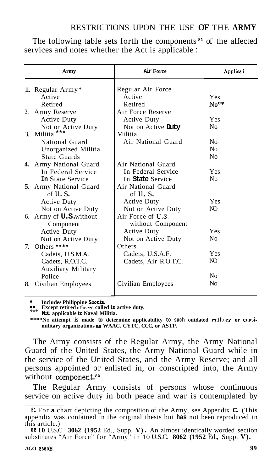The following table sets forth the components **s1** of the affected services and notes whether the Act is applicable :

|    | Army                           | Air Force            | Applies?       |
|----|--------------------------------|----------------------|----------------|
|    | 1. Regular Army*               | Regular Air Force    |                |
|    | Active                         | Active               | <b>Yes</b>     |
|    | Retired                        | Retired              | $No**$         |
|    | 2. Army Reserve                | Air Force Reserve    |                |
|    | <b>Active Duty</b>             | <b>Active Duty</b>   | Yes            |
|    | Not on Active Duty             | Not on Active Duty   | N <sub>0</sub> |
|    | 3. Militia                     | Militia              |                |
|    | National Guard                 | Air National Guard   | No             |
|    | Unorganized Militia            |                      | N <sub>0</sub> |
|    | State Guards                   |                      | No             |
|    | 4. Army National Guard         | Air National Guard   |                |
|    | In Federal Service             | In Federal Service   | Yes            |
|    | <b>In State Service</b>        | In State Service     | No             |
|    | 5. Army National Guard         | Air National Guard   |                |
|    | of $U.S.$                      | of $\mathbf{u}$ . S. |                |
|    | <b>Active Duty</b>             | <b>Active Duty</b>   | Yes            |
|    | Not on Active Duty             | Not on Active Duty   | NO.            |
|    | 6. Army of <b>U.S.</b> without | Air Force of U.S.    |                |
|    | Component                      | without Component    |                |
|    | Active Duty                    | <b>Active Duty</b>   | Yes            |
|    | Not on Active Duty             | Not on Active Duty   | Nο             |
|    | 7. Others ****                 | Others               |                |
|    | Cadets, U.S.M.A.               | Cadets, U.S.A.F.     | Yes            |
|    | Cadets, R.O.T.C.               | Cadets, Air R.O.T.C. | NO.            |
|    | Auxiliary Military             |                      |                |
|    | Police                         |                      | N <sub>0</sub> |
| 8. | Civilian Employees             | Civilian Employees   | No             |
|    |                                |                      |                |

**EXECUTE:** Includes Philippine Scouts.<br> **\*\*** Except retired officers called to active duty.

\*\*\* **Not applicable to Naval Militia.** 

**\*\*\*\*NO attempt is made to determine applicability to such outdated militarp or Quasimilitary organizations** *88* **WAAC. CYTC, CCC, or ASTP.** 

The Army consists of the Regular Army, the Army National Guard of the United States, the Army National Guard while in the service of the United States, and the Army Reserve; and all persons appointed or enlisted in, or conscripted into, the Army without component.<sup>82</sup>

The Regular Army consists of persons whose continuous service on active duty in both peace and war is contemplated by

**<sup>81</sup>** For **a** chart depicting the composition of the Army, see Appendix **C.** (This appendix was contained in the original thesis but **has** not been reproduced in this article.)

**<sup>82</sup>10** U.S.C. **3062 (1952** Ed., Supp. **V)** . An almost identically worded section substitutes "Air Force" for "Army" in 10 U.S.C. **8062 (1952** Ed., Supp. **V).**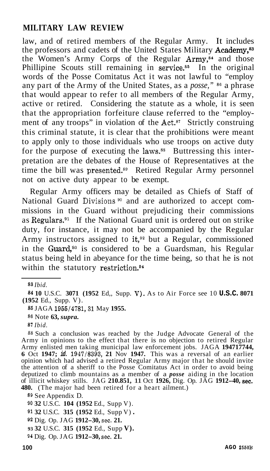law, and of retired members of the Regular Army. It includes the professors and cadets of the United States Military Academy.<sup>83</sup> the Women's Army Corps of the Regular Army,<sup>84</sup> and those Phillipine Scouts still remaining in service.<sup>85</sup> In the original words of the Posse Comitatus Act it was not lawful to "employ any part of the Army of the United States, as a *posse,"* **86** a phrase that would appear to refer to all members of the Regular Army, active or retired. Considering the statute as a whole, it is seen that the appropriation forfeiture clause referred to the "employment of any troops" in violation of the  $Act.^{87}$  Strictly construing this criminal statute, it is clear that the prohibitions were meant to apply only to those individuals who use troops on active duty for the purpose of executing the laws.<sup>88</sup> Buttressing this interpretation are the debates of the House of Representatives at the time the bill was presented.<sup>89</sup> Retired Regular Army personnel not on active duty appear to be exempt.

Regular Army officers may be detailed as Chiefs of Staff of National Guard Divisions<sup>90</sup> and are authorized to accept commissions in the Guard without prejudicing their commissions as Regulars. $91$  If the National Guard unit is ordered out on strike duty, for instance, it may not be accompanied by the Regular Army instructors assigned to it,<sup>92</sup> but a Regular, commissioned in the Guard, $93$  is considered to be a Guardsman, his Regular status being held in abeyance for the time being, so that he is not within the statutory restriction.<sup>94</sup>

*<sup>88</sup>*Such a conclusion was reached by the Judge Advocate General of the Army in opinions to the effect that there is no objection to retired Regular Army enlisted men taking municipal law enforcement jobs. JAGA **194717744, 6** Oct **1947;** *id.* **1947/8393, 21** Nov **1947.** This was a reversal of an earlier opinion which had advised a retired Regular Army major that he should invite the attention of a sheriff to the Posse Comitatus Act in order to avoid being deputized to climb mountains as a member of a *posse* aiding in the location of illicit whiskey stills. JAG **210.851,** 11 Oct **1926,** Dig. Op. JAG **1912-40, sec. 480.** (The major had been retired for a heart ailment.)

**<sup>89</sup>**See Appendix D.

**<sup>90</sup>32** U.S.C. **104 (1952** Ed., Supp V).

**91 32** U.S.C. **315 (1952** Ed., Supp V) .

**<sup>92</sup>**Dig. Op. JAG **1912-30,** sec. **21.** 

**93 32** U.S.C. **315 (1952** Ed., Supp **V).** 

**<sup>83</sup>** *Ibid.* 

**<sup>84</sup>10** U.S.C. **3071 (1952** Ed,, Supp. V). As to Air Force see 10 **U.S.C. 8071 (1952** Ed., Supp. V).

**<sup>85</sup>**JAGA **1955/4781,31** May **1955.** 

**<sup>86</sup>**Note **63,** *supra.* 

**<sup>87</sup>** *Ibid.* 

**<sup>94</sup>**Dig. Op. JAG **1912-30,** sec. **21.**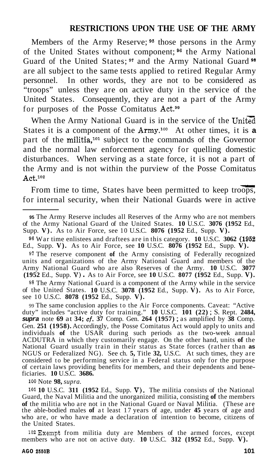Members of the Army Reserve; *95* those persons in the Army of the United States without component; **96** the Army National Guard of the United States; **97** and the Army National Guard **<sup>98</sup>** are all subject to the same tests applied to retired Regular Army personnel. In other words, they are not to be considered as "troops" unless they are on active duty in the service of the United States. Consequently, they are not a part of the Army for purposes of the Posse Comitatus Act.99

When the Army National Guard is in the service of the United States it is a component of the Army.<sup>100</sup> At other times, it is a part of the militia,<sup>101</sup> subject to the commands of the Governor and the normal law enforcement agency for quelling domestic disturbances. When serving as a state force, it is not a part of the Army and is not within the purview of the Posse Comitatus  $Act.<sup>102</sup>$ estic<br>rt of<br>tatus<br>oops,

From time to time, States have been permitted to keep troops, for internal security, when their National Guards were in active

**<sup>97</sup>**The reserve component **of** the Army consisting of Federally recognized units and organizations of the Army National Guard and members of the Army National Guard who are also Reserves of the Army. **10** U.S.C. **3077 (1952** Ed., Supp. V) . As to Air Force, see **10** U.S.C. **8077 (1952** Ed., Supp. **V).** 

**<sup>98</sup>**The Army National Guard is a component of the Army while in the service of the United States. **10** U.S.C. **3078 (1952** Ed., Supp. **V).** As to Air Force, see 10 U.S.C. **8078 (1952** Ed., Supp. **V).** 

99 The same conclusion applies to the Air Force components. Caveat: "Active by The same conclusion applies to the TiH Tote components. Cavear. Terms duty" includes "active duty for training." 10 U.S.C. 101 (22); S. Rept. 2484, supera note 69 at 34;  $cf. 37$  Comp. Gen. 264 (1957); as amplified by 3 Gen. **251 (1958).** Accordingly, the Posse Comitatus Act would apply to units and individuals of the USAR during such periods as the two-week annual ACDUTRA in which they customarily engage. On the other hand, units **of** the National Guard usually train in their status as State forces (rather than **as**  NGUS or Federalized NG). See ch. **5,** Title **32,** U.S.C. At such times, they are considered to be performing service in a Federal status only for the purpose of certain laws providing benefits for members, and their dependents and bene- ficiaries. **10** U.S.C. **3686.** 

100 Note **98,** *supra.* 

101 **10** U.S.C. **311 (1952** Ed., Supp. **V).** The militia consists of the National Guard, the Naval Militia and the unorganized militia, consisting **of** the members **of** the militia who are not in the National Guard or Naval Militia. (These are the able-bodied males **of** at least 17 years of age, under **45** years of age and who are, or who have made a declaration of intention to become, citizens of the United States.

102Exempt from militia duty are Members of the armed forces, except members who are not on active duty. **10** U.S.C. **312 (1952** Ed., Supp. **V).** 

**<sup>95</sup>**The Army Reserve includes all Reserves of the Army who are not members of the Army National Guard of the United States. **10** U.S.C. **3076 (1952** Ed., Supp. **V).** As to Air Force, see 10 U.S.C. **8076 (1952** Ed., Supp. **V).** 

**<sup>96</sup>**War time enlistees and draftees are in this category. **10** U.S.C. **3062 (1952**  Ed., Supp. **V).** As to Air Force, see **10** U.S.C. **8076 (1952** Ed., Supp. **V).**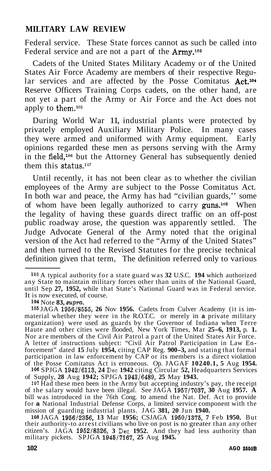Federal service. These State forces cannot as such be called into Federal service and are not a part of the **Army.**<sup>103</sup>

Cadets of the United States Military Academy or of the United States Air Force Academy are members of their respective Regular services and are affected by the Posse Comitatus Act.<sup>104</sup> Reserve Officers Training Corps cadets, on the other hand, are not yet a part of the Army or Air Force and the Act does not apply to them. $105$ 

During World War 11, industrial plants were protected by privately employed Auxiliary Military Police. In many cases they were armed and uniformed with Army equipment. Early opinions regarded these men as persons serving with the Army in the field,<sup>106</sup> but the Attorney General has subsequently denied them this status.<sup>107</sup>

Until recently, it has not been clear as to whether the civilian employees of the Army are subject to the Posse Comitatus Act. In both war and peace, the Army has had "civilian guards,'' some of whom have been legally authorized to carry guns.<sup>108</sup> When the legality of having these guards direct traffic on an off-post public roadway arose, the question was apparently settled. The Judge Advocate General of the Army noted that the original version of the Act had referred to the "Army of the United States" and then turned to the Revised Statutes for the precise technical definition given that term, The definition referred only to various

**104** Note **83,** *apru.* 

**105** JAGA **1956/8555, 26** Nov **1956.** Cadets from Culver Academy (it is immaterial whether they were in the R.O.T.C. or merely in **a** private military organization) were used as guards by the Governor of Indiana when Terre Haute and other cities were flooded, New York Times, Mar **25-6, 1913,** p. **1.**  Nor are members of the Civil Air Patrol a part of the United States Air Force. A letter of instructions subject: "Civil Air Patrol Participation in Law Enforcement" dated **15** July **1954,** citing CAP Reg. **900-3,** and stating that formal participation in law enforcement by CAP or its members is a direct violation of the Posse Comitatus Act is erroneous. Op. JAGAF **10240.1, 5** Aug **1954.** 

**<sup>106</sup>**SPJGA **1942/6113, 24** Dec **1942** citing Circular **52,** Headquarters Services of Supply, **28** Aug **1942;** SPJGA **1943/6489, 25** May **1943.** 

**<sup>107</sup>**Had these men been in the Army but accepting industry's pay, the receipt of the salary would have been illegal. See JAGA **1957/7037, 30** Aug **1957. A**  bill was introduced in the 76th Cong. to amend the Nat. Def. Act to provide for a National Industrial Defense Corps, a limited service component with the mission of guarding industrial plants. JAG **381, 20** Jun **1940.** 

**108** JAGA **1956/2356, 13** Mar **1956;** CSJAGA **1950/1375, 7** Feb **1950.** But their authority-to arrest civilians who live on post is no greater than any other citizen's. JAGA **1952/8326, 3** Dec **1952.** And they had less authority than military pickets. SPJGA **1945/7167, 25** Aug **1945.** 

**<sup>103</sup>**A typical authority for a state guard was **32** U.S.C. **194** which authorized any State to maintain military forces other than units of the National Guard, until Sep **27, 1952,** while that State's National Guard was in Federal service. It is now executed, of course.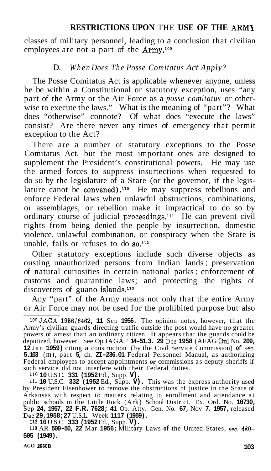classes of military personnel, leading to a conclusion that civilian employees are not a part of the  $\text{Army}$ .<sup>109</sup>

## D. *When Does The Posse Comitatus Act Apply?*

The Posse Comitatus Act is applicable whenever anyone, unless he be within a Constitutional or statutory exception, uses "any part of the Army or the Air Force as a *posse comitatus* or otherwise to execute the laws." What is the meaning of "part"? What does "otherwise" connote? Of what does "execute the laws" consist? Are there never any times of emergency that permit exception to the Act?

There are a number of statutory exceptions to the Posse Comitatus Act, but the most important ones are designed to supplement the President's constitutional powers. He may use the armed forces to suppress insurtections when requested to do so by the legislature of a State (or the governor, if the legislature canot be convened).<sup>110</sup> He may suppress rebellions and enforce Federal laws when unlawful obstructions, combinations, or assemblages, or rebellion make it impractical to do so by ordinary course of judicial proceedings.<sup>111</sup> He can prevent civil rights from being denied the people by insurrection, domestic violence, unlawful combination, or conspiracy when the State is unable, fails or refuses to do **so.112** 

Other statutory exceptions include such diverse objects as ousting unauthorized persons from Indian lands ; preservation of natural curiosities in certain national parks ; enforcement of customs and quarantine laws; and protecting the rights of discoverers of guano islands.<sup>113</sup>

Any "part" of the Army means not only that the entire Army or Air Force may not be used for the prohibited purpose but also

110 **10** U.S.C. **331 (1952** Ed., Supp. **V).** 

111 **10** U.S.C. **332 (1952** Ed., Supp. **V).** This was the express authority used by President Eisenhower to remove the obstructions of justice in the State of Arkansas with respect to matters relating to enrollment and attendance at public schools in the Little Rock (Ark) School District. Ex. Ord. No. **10730,**  Sep **24, 1957, 22 F.R. 7628; 41** Op. Atty. Gen. No. **67,** Nov **7, 1957,** released Dec **29,1958; 27** U.S.L. Week **1117 (1959).** 

<sup>112</sup>**10** U.S.C. **333 (1952** Ed., Supp. **V).**  113 AR **500-50, 22** Mar **1956;** Military Laws **of** the United States, sec. **480- 505 (1949).** 

<sup>&</sup>lt;sup>109</sup> JAGA **1956/6462, 11** Sep **1956.** The opinion notes, however, that the Army's civilian guards directing traffic outside the post would have no greater powers of arrest than an ordinary citizen. It appears that the guards could be deputized, however. See Op JAGAF **14-51.3. 29** Dec **1958** (AFAG Bul No. **209, 12** Jan **1959)** citing a construction (by the Civil Service Commission) **of** sec. **5.103** (m), part **5,** ch. **ZI-236.01** Federal Personnel Manual, as authorizing Federal employees to accept appointments **or** commissions as deputy sheriffs if such service did not interfere with their Federal duties.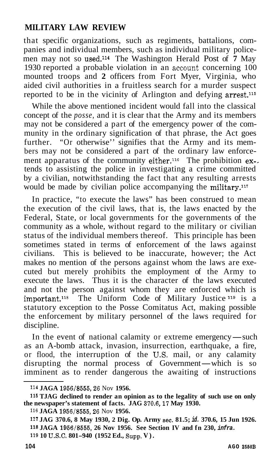that specific organizations, such as regiments, battalions, companies and individual members, such as individual military policemen may not so used.<sup>114</sup> The Washington Herald Post of 7 May 1930 reported a probable violation in an account concerning  $100$ mounted troops and **2** officers from Fort Myer, Virginia, who aided civil authorities in a fruitless search for a murder suspect reported to be in the vicinity of Arlington and defying arrest.<sup>115</sup>

While the above mentioned incident would fall into the classical concept of the *posse,* and it is clear that the Army and its members may not be considered a part of the emergency power of the community in the ordinary signification of that phrase, the Act goes further. "Or otherwise'' signifies that the Army and its members may not be considered a part of the ordinary law enforcement apparatus of the community either.<sup>116</sup> The prohibition  $ex$ tends to assisting the police in investigating a crime committed by a civilian, notwithstanding the fact that any resulting arrests would be made by civilian police accompanying the military.<sup>117</sup>

In practice, "to execute the laws" has been construed to mean the execution of the civil laws, that is, the laws enacted by the Federal, State, or local governments for the governments of the community as a whole, without regard to the military or civilian status of the individual members thereof. This principle has been sometimes stated in terms of enforcement of the laws against civilians. This is believed to be inaccurate, however; the Act makes no mention of the persons against whom the laws are executed but merely prohibits the employment of the Army to execute the laws. Thus it is the character of the laws executed and not the person against whom they are enforced which is important.118 The Uniform Code of Military Justice **119** is a statutory exception to the Posse Comitatus Act, making possible the enforcement by military personnel of the laws required for discipline.

In the event of national calamity or extreme emergency—such as an A-bomb attack, invasion, insurrection, earthquake, a fire, or flood, the interruption of the **US.** mail, or any calamity as an A-bomb attack, invasion, insurrection, earthquake, a fire,<br>or flood, the interruption of the U.S. mail, or any calamity<br>disrupting the normal process of Government—which is so<br>imminent as to render denserous the eval imminent as to render dangerous the awaiting of instructions

<sup>114</sup> **JAGA 1956/8555,26** Nov **1956.** 

**<sup>115</sup>TJAG declined to render an opinion as to the legality of such use on only the newspaper's statement of facts. JAG 370.6,17 May 1930.** 

<sup>116</sup> **JAGA 1956/8555,26** Nov **1956.** 

**<sup>117</sup>JAG 370.6, 8 May 1930, 2 Dig. Op. Army sec. 81.5;** *id.* **370.6, 15 Jun 1926. <sup>118</sup>JAGA 1956/8555, 26 Nov 1956. See Section IV and fn 230,** *infra.* 

<sup>119 10</sup> U.S.C. 801-940 (1952 Ed., Supp. V).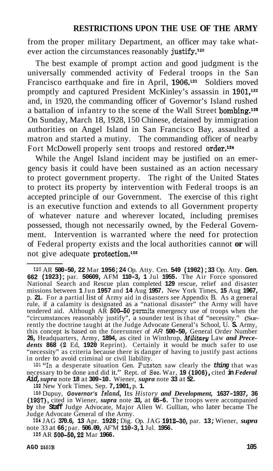from the proper military Department, an officer may take whatever action the circumstances reasonably justify.<sup>120</sup>

The best example of prompt action and good judgment is the universally commended activity of Federal troops in the San Francisco earthquake and fire in April, 1906.<sup>121</sup> Soldiers moved promptly and captured President McKinley's assassin in 1901,<sup>122</sup> and, in 1920, the commanding officer of Governor's Island rushed a battalion of infantry to the scene of the Wall Street bombing.<sup>128</sup> On Sunday, March 18, 1928, 150 Chinese, detained by immigration authorities on Angel Island in San Francisco Bay, assaulted a matron and started a mutiny. The commanding officer of nearby Fort McDowell properly sent troops and restored order.<sup>124</sup>

While the Angel Island incident may be justified on an emergency basis it could have been sustained as an action necessary to protect government property. The right of the United States to protect its property by intervention with Federal troops is an accepted principle of our Government. The exercise of this right is an executive function and extends to all Government property of whatever nature and wherever located, including premises possessed, though not necessarily owned, by the Federal Government. Intervention is warranted where the need for protection of Federal property exists and the local authorities cannot **or** will not give adequate protection.<sup>125</sup>

121''In a desperate situation Gen. Funston saw clearly the *thing* that was necessary to be done and did it." Rept. of Sec. War, **19 (1906),** cited **in** *Federal Aid, supra* note **18** at **309-10.** Wiener, *supra* note **33** at **52.** 

122 New York Times, Sep. **7,1901,** p. **1.** 

128 Dupuy, *Governor's Island,* Its *History and Development,* **1637-1937, 36 (1937),** cited in Wiener, *supra* note **33,** at **65-6.** The troops were accompanied **by** the **Staff** Judge Advocate, Major Allen W. Gullian, who later became The Judge Advocate General of the Army.

124 JAG **370.6, 13** Apr. **1928;** Dig. Op. JAG **191230,** par. **13;** Wiener, *supra*  note 33 at **66;** par. **506.09,** AF'M **110-3,1** Jul. **1956.** 

126 AR **600-50,22** Mar **1966.** 

<sup>120</sup> AR **500-50, 22** Mar **1956; 24** Op. Atty. Cen. **549 (1902)** ; **33** Op. Atty. *Gen.*  **662 (1923)** ; par. **50609,** AFM **110-3, 1** Jul **1955.** The Air Force sponsored National Search and Rescue plan completed **129** rescue, relief and disaster missions between **1** Jun **1957** and **14** Aug **1957.** New York Times, **15** Aug **1967,**  p. **21.** For a partial list of Army aid in disasters see Appendix B. As a general rule, if a calamity is designated as a "national disaster" the Army will have tendered aid. Although AR **500-50** permits emergency use of troops when the "circumstances reasonably justify", a sounder test is that of "necessity." (Surrently the doctrine taught at the Judge Advocate General's School, U. **S.** Army, this concept is based on the forerunner of *AR* **500-50,** General Order Number **26,** Headquarters, Army, **1894,** as cited in Winthrop, *Military* Law *and Prece- dents* **868 (2** Ed, **1920** Reprint). Certainly it would be much safer to use "necessity" as criteria because there is danger of having to justify past actions in order to avoid criminal or civil liability.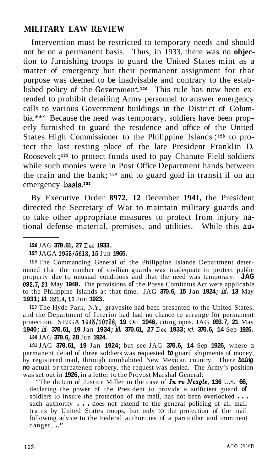Intervention must be restricted to temporary needs and should not be on a permanent basis. Thus, in 1933, there was no **objec**tion to furnishing troops to guard the United States mint as a matter of emergency but their permanent assignment for that purpose was deemed to be inadvisable and contrary to the established policy of the Government.<sup>126</sup> This rule has now been extended to prohibit detailing Army personnel to answer emergency calls to various Government buildings in the District of Columbia.\*\*' Because the need was temporary, soldiers have been properly furnished to guard the residence and office of the United States High Commissioner to the Philippine Islands ; **128** to protect the last resting place of the late President Franklin D. Roosevelt;<sup>129</sup> to protect funds used to pay Chanute Field soldiers while such monies were in Post Office Department hands between the train and the bank;  $130$  and to guard gold in transit if on an emergency basis.1s1

By Executive Order **8972, 12** December **1941,** the President directed the Secretary of War to maintain military guards and to take other appropriate measures to protect from injury national defense material, premises, and utilities. While this au-

**<sup>129</sup>**The Hyde Park, N.Y., gravesite had been presented to the United States, and the Department of Interior had had no chance to arrange for permanent protection. SPJGA **1945/10728, 19** Oct **1946,** citing opns. JAG **093.7, 21** May **1940;** *id.* **370.61, 19** Jan **1934;** *id.* **370.61, 27** Dec **1933;** *id.* **370.6, 14** Sep **1926. <sup>180</sup>**JAG **370.6, 28** Jun **1924.** 

**<sup>131</sup>**JAG **370.61, 19** Jan **1924;** but see JAG **370.6, 14** Sep **1926,** where a permanent detail of three soldiers was requested *to* guard shipments of money, by registered mail, through uninhabited New Mexican country. There *being*  **no** actual or threatened robbery, the request was denied. The Army's position was set out in **1926,** in a letter to the Provost Marshal General:

"The dictum of Justice Miller in the case of *In re Neugle,* **136** U.S. **66,**  declaring the power of the President to provide a sufficient guard  $\sigma$ **f** soldiers to insure the protection of the mail, has not been overlooked ... such authority . . . does not extend to the general policing of all mail trains by United States troops, but only to the protection of the mail following advice to the Federal authorities of a particular and imminent danger. .."

**<sup>126</sup>**JAG **370.61, 27** Dec **1933.** 

**<sup>127</sup>**JAGA **1955/5613,15** Jun **1965.** 

**<sup>128</sup>** The Commanding General of the Philippine Islands Department determined that the number of civilian guards was inadequate to protect public property due to unusual conditions and that the need was temporary. **JAG 093.7,21** May **1940.** The provisions **of** the Posse Comitatus Act were applicable to the Philippine Islands at that time. JAG **370.6, 15** Jan **1924;** *id.* **13** May **1931;** *id.* **321.4,ll** Jun **1923.**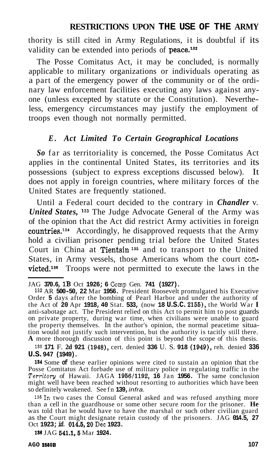thority is still cited in Army Regulations, it is doubtful if its validity can be extended into periods of peace.<sup>132</sup>

The Posse Comitatus Act, it may be concluded, is normally applicable to military organizations or individuals operating as a part of the emergency power of the community or of the ordinary law enforcement facilities executing any laws against anyone (unless excepted by statute or the Constitution). Nevertheless, emergency circumstances may justify the employment of troops even though not normally permitted.

#### *E. Act Limited To Certain Geographical Locations*

*So* far as territoriality is concerned, the Posse Comitatus Act applies in the continental United States, its territories and its possessions (subject to express exceptions discussed below). It does not apply in foreign countries, where military forces of the United States are frequently stationed.

Until a Federal court decided to the contrary in *Chandler* v. *United States,* **133** The Judge Advocate General of the Army was of the opinion that the Act did restrict Army activities in foreign  $countries.<sup>134</sup>$  Accordingly, he disapproved requests that the Army hold a civilian prisoner pending trial before the United States Court in China at Tientsin<sup>135</sup> and to transport to the United States, in Army vessels, those Americans whom the court convicted.<sup>136</sup> Troops were not permitted to execute the laws in the

I33 **171** F. **2d 921 (1948))** cert. denied **336** U. S. **918 (1949))** reh. denied **336 U.S. 947 (1949).** 

184 Some **of** these earlier opinions were cited to sustain an opinion that the Posse Comitatus Act forbade use of military police in regulating traffic in the *Territory* of Hawaii. JAGA 1956/1192, 16 Jan 1956. The same conclusion might well have been reached without resorting to authorities which have been so definitely weakened. See fn **139,** *infra.* 

 $135$  In two cases the Consul General asked and was refused anything more than a cell in the guardhouse or some other secure room for the prisoner. **He** was told that he would have to have the marshal or such other civili as the Court might designate retain custody of the prisoners. JAG **014.5, 27**  Oct **1923;** *id.* **014.5,20** Dec **1923.** 

188 JAG **641.1,6** Mar **1924.** 

JAG **370.6, 1B** Oct **1926; 6** Camp Gen. **741 (1927).** 

<sup>132</sup> AR **500-50, 22** Mar **1956.** President Roosevelt promulgated his Executive Order **5** days after the bombing of Pearl Harbor and under the authority of the Act of **20** Apr **1918, 40** Stat. **533,** (now **18 U.S.C. 2155),** the World War **I**  anti-sabotage act. The President relied on this Act to permit him to post guards on private property, during war time, when civilians were unable to guard<br>the property themselves. In the author's opinion, the normal peacetime situa-<br>tion would not justify such intervention, but the authority is tacitly **A** more thorough discussion of this point is beyond the scope of this thesis.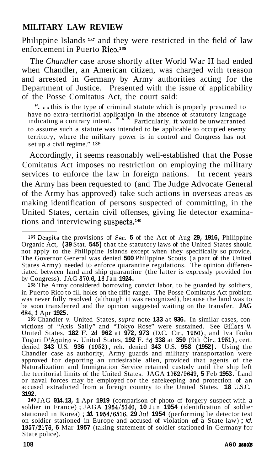Philippine Islands **13'** and they were restricted in the field of law enforcement in Puerto Rico.<sup>138</sup>

The *Chandler* case arose shortly after World War I1 had ended when Chandler, an American citizen, was charged with treason and arrested in Germany by Army authorities acting for the Department of Justice. Presented with the issue of applicability of the Posse Comitatus Act, the court said: ". . . this is the type of criminal statute which is properly presumed to

have no extra-territorial application in the absence of statutory language indicating a contrary intent.  $\overrightarrow{ }$  Particularly, it would be unwarranted Particularly, it would be unwarranted. to assume such a statute was intended to be applicable to occupied enemy territory, where the military power is in control and Congress has not set up a civil regime." 139

Accordingly, it seems reasonably well-established that the Posse Comitatus Act imposes no restriction on employing the military services to enforce the law in foreign nations. In recent years the Army has been requested to (and The Judge Advocate General of the Army has approved) take such actions in overseas areas as making identification of persons suspected of committing, in the United States, certain civil offenses, giving lie detector examinations and interviewing suspects.<sup>140</sup>

138 The Army considered borrowing convict labor, to be guarded by soldiers, in Puerto Rico to fill holes on the rifle range. The Posse Comitatus Act problem was never fully resolved (although it was recognized), because the land was to be soon transferred and the opinion suggested waiting on the transfer. **JAG 684,l** Apr **1925.** 

139 Chandler v. United States, *supra* note **133** at **936.** In similar cases, convictions of "Axis Sally" and "Tokyo Rose" were sustained. See Gillars **v.**  United States, **182** F. **2d 962** at **972, 973** (D.C. Cir., **1950),** and Iva Ikuko Toguri D'Aquino v. United States, **192** F. 2d **338** at **350** (9th Cir., **1951),** cert. denied **343** U.S. **936 (1952),** reh. denied **343** U.S. **958 (1952).** Using the Chandler case as authority, Army guards and military transportation were approved for deporting an undesirable alien, provided that agents of the Naturalization and Immigration Service retained custody until the ship left the territorial limits of the United States. JAGA **1952/9649, 5** Feb **1953.** Land or naval forces may be employed for the safekeeping and protection of an accused extradicted from a foreign country to the United States. **18** U.S.C. **3192.** 

**<sup>140</sup>**JAG **014.13, 1** Apr **1919** (comparison of photo of forgery suspect with a soldier in France); JAGA 1954/5140, 10 Jun 1954 (identification of soldier<br>stationed in Korea); *id.* 1954/5140, 10 Jun 1954 (identification of soldier<br>on soldier stationed in Europe and accused of violation of a State law **1957/2176, 6** Mar **1957** (taking statement of soldier stationed in Germany for State police).

<sup>137</sup>Despite the provisions of Sec. **5** of the Act of Aug **29, 1916,** Philippine Organic Act, **(39** Stat. **545)** that the statutory laws of the United States should not apply to the Philippine Islands except when they specifically so provide. The Governor General was denied **500** Philippine Scouts (a part **of** the United tiated between land and ship quarantine (the latter is expressly provided for by Congress). JAG **370.6,16** Jan **1924.**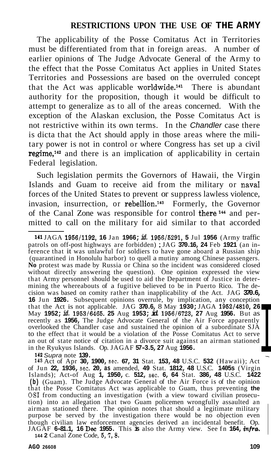The applicability of the Posse Comitatus Act in Territories must be differentiated from that in foreign areas. A number of earlier opinions of The Judge Advocate General of the Army to the effect that the Posse Comitatus Act applies in United States Territories and Possessions are based on the overruled concept that the Act was applicable worldwide.141 There is abundant authority for the proposition, though it would be difficult to attempt to generalize as to all of the areas concerned. With the exception of the Alaskan exclusion, the Posse Comitatus Act is not restrictive within its own terms. In the *Chandler* case there is dicta that the Act should apply in those areas where the military power is not in control or where Congress has set up a civil regime,142 and there is an implication of applicability in certain Federal legislation.

Such legislation permits the Governors of Hawaii, the Virgin Islands and Guam to receive aid from the military or navaI forces of the United States to prevent or suppress lawless violence, invasion, insurrection, or rebellion.<sup>143</sup> Formerly, the Governor of the Canal Zone was responsible for control there<sup>144</sup> and permitted to call on the military for aid similar to that accorded

**<sup>141</sup>**JAGA **1966/1192, 16** Jan **1966;** *id.* **1956/5291, 5** Jul **1956** (Army traffic patrols on off-post highways are forbidden) ; JAG **370.16, 24** Feb **1921** (an inference that it was unlawful for soldiers to have gone aboard a Russian ship (quarantined in Honolulu harbor) to quell a mutiny among Chinese passengers. **No** protest was made by Russia or China so the incident was considered closed without directly answering the question). One opinion expressed the view that Army personnel should be used to aid the Department of Justice in determining the whereabouts of a fugitive believed to be in Puerto Rico. The decision was based on comity rather than inapplicability of the Act. JAG **370.6, 16** Jun **1926.** Subsequent opinions overrule, by implication, any conception that the Act is not applicable. JAG **370.6,** 8 May **1930;** JAGA **1952/4810, 26**  May **1952;** *id.* **1953/6465. 25** Aug **1953;** *id.* **1956/6723, 27** Aug **1956.** But as recently as **1956,** The Judge Advocate General of the Air Force apparently overlooked the Chandler case and sustained the opinion of a subordinate SJA to the effect that it would be a violation of the Posse Comitatus Act to serve an out of state notice of citation in a divorce suit against an airman stationed in the Ryukyus Islands. **142 Supra note 139. 143** Act of Apr **30, 1900, sec. 67, 31** Stat. **153, 48** U.S.C. **532** (Hawaii); Act **154, 1743** Act of Apr **30, 1900, sec. 67, 31** Stat. **153, 48** U.S.C. **532** (Hawaii); Act **154** 

of Jun **22, 1936,** sec. **20, as** amended, **49** Stat. **1812, 48** U.S.C. **1405s** (Virgin Islands); Act-of Aug **1, 1950,** c. **512,** sec. **6, 64** Stat. **386, 48** U.S.C. **1422 (b)** (Guam). The Judge Advocate General of the Air Force is of the opinion that the Posse Comitatus Act was applicable to Guam, thus preventing **the**  OSI from conducting an investigation (with a view toward civilian prosecution) into an allegation that two Guam policemen wrongfully assaulted an airman stationed there. The opinion notes that should a legitimate military purpose be served by the investigation there would be no objection even though civilian law enforcement agencies derived an incidental benefit. Op. JAGAF **6-81.1, 16** Dec **1955.** This **is** also the Army view. See fn **164,** *infra.* 

**144 2** Canal Zone Code, **6, 7,8.**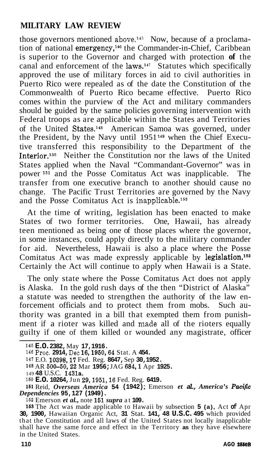those governors mentioned above.<sup>145</sup> Now, because of a proclamation of national emergency,<sup>146</sup> the Commander-in-Chief, Caribbean is superior to the Governor and charged with protection **of** the canal and enforcement of the laws.147 Statutes which specifically approved the use of military forces in aid to civil authorities in Puerto Rico were repealed as of the date the Constitution of the Commonwealth of Puerto Rico became effective. Puerto Rico comes within the purview of the Act and military commanders should be guided by the same policies governing intervention with Federal troops as are applicable within the States and Territories of the United States.148 American Samoa was governed, under the President, by the Navy until 1951 **149** when the Chief Executive transferred this responsibility to the Department of the Interior.<sup>150</sup> Neither the Constitution nor the laws of the United States applied when the Naval "Commandant-Governor" was in power **151** and the Posse Comitatus Act was inapplicable. The transfer from one executive branch to another should cause no change. The Pacific Trust Territories are governed by the Navy and the Posse Comitatus Act is inapplicable.<sup>152</sup>

At the time of writing, legislation has been enacted to make States of two former territories. One, Hawaii, has already teen mentioned as being one of those places where the governor, in some instances, could apply directly to the military commander for aid. Nevertheless, Hawaii is also a place where the Posse Comitatus Act was made expressly applicable by legislation.<sup>153</sup> Certainly the Act will continue to apply when Hawaii is a State.

The only state where the Posse Comitatus Act does not apply is Alaska. In the gold rush days of the then "District of Alaska" a statute was needed to strengthen the authority of the law enforcement officials and to protect them from mobs. Such authority was granted in a bill that exempted them from punishment if a rioter was killed and made all of the rioters equally guilty if one of them killed or wounded any magistrate, officer

151 Reid, *Overseas America* **54 (1942)** ; Emerson *et al., America's Pacifio Dependencies* **95,127 (1949).** 

<sup>145</sup>**E.O. 2382,** May **17,1916.** 

<sup>146</sup> Proc. **2914,** Dec **16,1950,64** Stat. A **454.** 

<sup>147</sup> E.O. **10398,17** Fed. Reg. **8647,** Sep **30,1952.** 

**<sup>148</sup>**AR **500-50,22** Mar **1956;** JAG **684,l** Apr **1925.** 

<sup>149</sup>**48** U.S.C. **1431a.** 

<sup>150</sup>**E.O. 10264,** Jun **29,1951,16** Fed. Reg. **6419.** 

<sup>152</sup> Emerson *et al.,* note **151** *supra* at **109.** 

<sup>16</sup>s The Act was made applicable to Hawaii by subsection **5 (a),** Act **of** Apr **30, 1900,** Hawaiian Organic Act, **31** Stat. **141, 48 U.S.C. 495** which provided that the Constitution and all laws of the United States not locally inapplicable shall have the same force and effect in the Territory **as** they have elsewhere in the United States.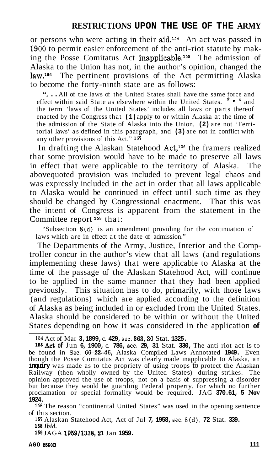or persons who were acting in their aid.154 An act was passed in **2900** to permit easier enforcement of the anti-riot statute by making the Posse Comitatus Act inapplicable.<sup>155</sup> The admission of Alaska to the Union has not, in the author's opinion, changed the law.<sup>156</sup> The pertinent provisions of the Act permitting Alaska to become the forty-ninth state are as follows:

**''...** All of the laws of the United States shall have the same force and fect within said State as elsewhere within the United States.  $* *$  and effect within said State as elsewhere within the United States. the term 'laws of the United States' includes all laws or parts thereof enacted by the Congress that **(1)** apply to or within Alaska at the time of the admission of the State of Alaska into the Union, **(2)** are not 'Territorial laws' as defined in this paargraph, and **(3)** are not in conflict with any other provisions of this Act." **<sup>167</sup>**

In drafting the Alaskan Statehood Act,<sup>158</sup> the framers realized that some provision would have to be made to preserve all laws in effect that were applicable to the territory of Alaska. The abovequoted provision was included to prevent legal chaos and was expressly included in the act in order that all laws applicable to Alaska would be continued in effect until such time as they should be changed by Congressional enactment. That this was the intent of Congress is apparent from the statement in the Committee report **159** that:

"Subsection 8(d) is an amendment providing for the continuation of laws which are in effect at the date of admission."

The Departments of the Army, Justice, Interior and the Comptroller concur in the author's view that all laws (and regulations implementing these laws) that were applicable to Alaska at the time of the passage of the Alaskan Statehood Act, will continue to be applied in the same manner that they had been applied previously. This situation has to do, primarily, with those laws (and regulations) which are applied according to the definition of Alaska as being included in or excluded from the United States. Alaska should be considered to be within or without the United States depending on how it was considered in the application **of** 

**<sup>166</sup>**The reason "continental United States" was used in the opening sentence of this section.

167 Alaskan Statehood Act, Act of Jul **7, 1958,** sec. 8(d), **72** Stat. **339. 158** *Ibid.* 

169 JAGA **1959/1338,21** Jan **1959.** 

<sup>154</sup> Act of Mar **3,1899,** c. **429,** sec. **363,30** Stat. **1325.** 

<sup>1</sup>SSAct **of** Jun **6, 1900,** c. **786,** sec. **29, 31** Stat. **330,** The anti-riot act is to be found in Sec. **66-2246,** Alaska Compiled Laws Annotated **1949.** Even though the Posse Comitatus Act was clearly made inapplicable to Alaska, an inquiry was made as to the propriety of using troops to protect the Alaskan Railway (then wholly owned by the United States) during strikes. The opinion approved the use of troops, not on a basis of suppressing a disorder but because they would be guarding Federal property, for which no further proclamation or special formality would be required. JAG **370.61, 5 Nov 1924.**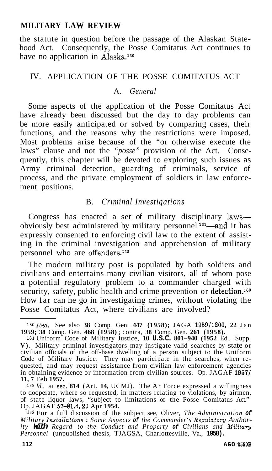the statute in question before the passage of the Alaskan Statehood Act. Consequently, the Posse Comitatus Act continues to have no application in Alaska.<sup>160</sup>

### IV. APPLICATION OF THE POSSE COMITATUS ACT

#### A. *General*

Some aspects of the application of the Posse Comitatus Act have already been discussed but the day to day problems can be more easily anticipated or solved by comparing cases, their functions, and the reasons why the restrictions were imposed. Most problems arise because of the "or otherwise execute the laws" clause and not the *"posse"* provision of the Act. Consequently, this chapter will be devoted to exploring such issues as Army criminal detection, guarding of criminals, service of process, and the private employment of soldiers in law enforcement positions.

## B. *Criminal Investigations*

Congress has enacted a set of military disciplinary lawsobviously best administered by military personnel<sup>161</sup>—and it has expressly consented to enforcing civil law to the extent of assisting in the criminal investigation and apprehension of military personnel who are offenders.<sup>162</sup>

The modern military post is populated by both soldiers and civilians and entertains many civilian visitors, all of whom pose **a** potential regulatory problem to a commander charged with security, safety, public health and crime prevention or detection.<sup>163</sup> How far can he go in investigating crimes, without violating the Posse Comitatus Act, where civilians are involved?

*<sup>16</sup>oZbid.* See also **38** Comp. Gen. **447 (1958);** JAGA **1959/1200, 22** Jan **1959; 38** Comp. Gen. **468 (1958)** ; contra, **38** Comp. Gen. **261 (1958).** 

*<sup>161</sup>*Uniform Code of Military Justice, **10 U.S.C. 801-940 (1952** Ed., Supp. **V).** Military criminal investigators may instigate valid searches by state or civilian officials of the off-base dwelling of a person subject to the Uniform Code of Military Justice. They may participate in the searches, when requested, and may request assistance from civilian law enforcement agencies in obtaining evidence or information from civilian sources. Op. JAGAF **1967/ 11, 7** Feb **1957.** 

*<sup>162</sup> Id.,* at sec. **814** (Art. **14,** UCMJ). The Ar Force expressed a willingness to dooperate, where so requested, in matters relating to violations, by airmen, of state liquor laws, "subject to limitations of the Posse Comitatus Act." Op. JAGAF **57-81.4,20** Apr **1954.** 

*<sup>163</sup>*For a full discussion of the subject see, Oliver, *The Administration of*  <sup>163</sup> For a full discussion of the subject see, Oliver, The Administration of Military Installations : Some Aspects of the Commander's Regulatory Author-<br>*ity With Regard to the Conduct and Property of Civilians and Milita Personnel* (unpublished thesis, TJAGSA, Charlottesville, Va., **1958).**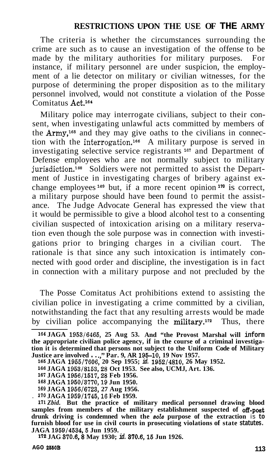The criteria is whether the circumstances surrounding the crime are such as to cause an investigation of the offense to be made by the military authorities for military purposes. For instance, if military personnel are under suspicion, the employment of a lie detector on military or civilian witnesses, for the purpose of determining the proper disposition as to the military personnel involved, would not constitute a violation of the Posse Comitatus Act.<sup>164</sup>

Military police may interrogate civilians, subject to their consent, when investigating unlawful acts committed by members of the Army,<sup>165</sup> and they may give oaths to the civilians in connection with the interrogation.<sup>166</sup> A military purpose is served in investigating selective service registrants <sup>167</sup> and Department of Defense employees who are not normally subject to military jurisdiction.<sup>168</sup> Soldiers were not permitted to assist the Department of Justice in investigating charges of bribery against exchange employees<sup>169</sup> but, if a more recent opinion<sup>170</sup> is correct, a military purpose should have been found to permit the assistance. The Judge Advocate General has expressed the view that it would be permissible to give a blood alcohol test to a consenting civilian suspected of intoxication arising on a military reservation even though the sole purpose was in connection with investigations prior to bringing charges in a civilian court. The rationale is that since any such intoxication is intimately connected with good order and discipline, the investigation is in fact in connection with a military purpose and not precluded by the

The Posse Comitatus Act prohibitions extend to assisting the civilian police in investigating a crime committed by a civilian, notwithstanding the fact that any resulting arrests would be made by civilian police accompanying the military.172 Thus, there

*<sup>164</sup>***JAGA 1953/6465, 25 Aug 53. And "the Provost Marshal will inform the appropriate civilian police agency, if in the course of a criminal investigation it is determined that persons not subject to the Uniform Code of Military Justice are involved** . . .," **Par. 9, AR 195-10, 19 Nov 1957. <sup>165</sup>JAGA 1955/7606, 20 Sep 1955;** *id.* **1952/4810, 26 May 1952.** 

**<sup>166</sup>JAGA 1953/8153,28 Oct 1953. See also, UCMJ, Art. 136.** 

**<sup>167</sup> JAGA 1956/1517,28 Feb 1956.** 

**<sup>168</sup>JAGA 1950/3770,19 Jun 1950.** 

**<sup>169</sup> JAGA 1956/6723, 27 Aug 1956.** 

<sup>.</sup> **170 JAGA 1959/1745,16 Feb 1959.** 

**<sup>171</sup>** *Zbid.* **But the practice of military medical personnel drawing blood samples from members of the military establishment suspected of off-post drunk driving is condemned when the** *sols* **purpose of the extraction** is **to furnish blood for use in civil courts in prosecuting violations of state statutes. JAGA 1959/4534,5 Jun 1959.** 

**<sup>172</sup> JAG 370.6,8 May 1930;** *id.* **370.6,15 Jun 1926.**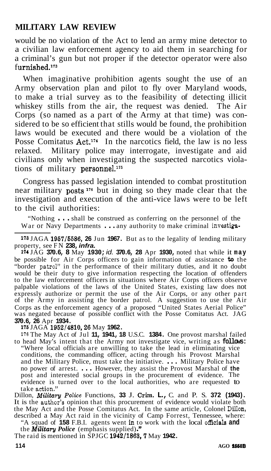would be no violation of the Act to lend an army mine detector to a civilian law enforcement agency to aid them in searching for a criminal's gun but not proper if the detector operator were also  $furnished.<sup>173</sup>$ 

When imaginative prohibition agents sought the use of an Army observation plan and pilot to fly over Maryland woods, to make a trial survey as to the feasibility of detecting illicit whiskey stills from the air, the request was denied. The Air Corps (so named as a part of the Army at that time) was considered to be so efficient that stills would be found, the prohibition laws would be executed and there would be a violation of the Posse Comitatus  $Act^{174}$  In the narcotics field, the law is no less relaxed. Military police may interrogate, investigate and aid civilians only when investigating the suspected narcotics violations of military personnel.<sup>175</sup>

Congress has passed legislation intended to combat prostitution near military posts<sup>176</sup> but in doing so they made clear that the investigation and execution of the anti-vice laws were to be left to the civil authorities:

"Nothing . . . shall be construed as conferring on the personnel of the War or Navy Departments . . . any authority to make criminal investiga-

**<sup>173</sup>**JAGA **1957/5586, 26** Jun **1967.** But as to the legality of lending military property, see FN **238,** *infra.* 

**<sup>174</sup>**JAG **370.6, 8** May **1930;** *id.* **370.6, 28** Apr **1930,** noted that while it **may**  be possible for Air Corps officers to gain information of assistance **to** the "border patrol" in the performance of their military duties, and it no doubt would be their duty to give information respecting the location of offenders to the law enforcement officers in situations where Air Corps officers observe palpable violations of the laws of the United States, existing law does not expressly authorize or permit the use of the Air Corps, or any other part of the Army in assisting the border patrol. A suggestion to use the Air Corps as the enforcement agency of a proposed "United States Aerial Police" was negated because of possible conflict with the Posse Comitatus Act. JAG **370.6, 26** Apr **1934.** 

**<sup>176</sup>**JAGA **1952/4810,26** May **1962.** 

**<sup>176</sup>**The May Act of Jul **11, 1941, 18** U.S.C. **1384.** One provost marshal failed to head May's intent that the Army not investigate vice, writing as **follows:**  "Where local officials are unwilling to take the lead in eliminating vice conditions, the commanding officer, acting through his Provost Marshal and the Military Police, must take the initiative. . . . Military Police have no power of arrest. . . . However, they assist the Provost Marshal of **the**  post and interested social groups in the procurement of evidence. The evidence is turned over to the local authorities, who are requested to take action.''

Dillon, *Military Police Functions*, 33 J. Crim. L., C. and P. S. 372 (1943). It is the author's opinion that this procurement of evidence would violate both the May Act and the Posse Comitatus Act. In the same article, Colonel Dillon, described a May Act raid in the vicinity of Camp Forrest, Tennessee, where:

"A squad of **158** F.B.I. agents went **in** to work with the local officials **and**  the *Military Police* (emphasis supplied)."

The raid is mentioned in SPJGC **1942/1863,7** May **1942.**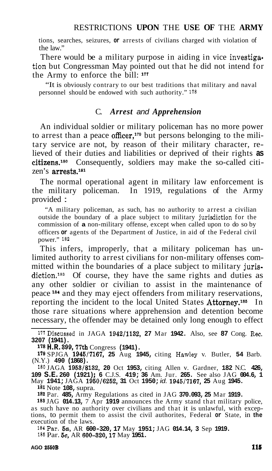tions, searches, seizures, **or** arrests of civilians charged with violation of the law."

There would be a military purpose in aiding in vice investigation but Congressman May pointed out that he did not intend for the Army to enforce the bill: **17'** 

"It is obviously contrary to our best traditions that military and naval personnel should be endowed with such authority." 178

## C. *Arrest and Apprehension*

An individual soldier or military policeman has no more power to arrest than a peace officer,<sup>179</sup> but persons belonging to the military service are not, by reason of their military character, relieved of their duties and liabilities or deprived of their rights **as**   $citizens.<sup>180</sup>$  Consequently, soldiers may make the so-called citizen's arrests.<sup>181</sup>

The normal operational agent in military law enforcement is the military policeman. In 1919, regulations of the Army provided :

"A military policeman, as such, has no authority to arrest a civilian outside the boundary of a place subject to military jurisdiction for the commission of **a** non-military offense, except when called upon to do so by officers **or** agents of the Department of Justice, in aid of the Federal civil power." 182

This infers, improperly, that a military policeman has unlimited authority to arrest civilians for non-military offenses committed within the boundaries of a place subject to military jurisdiction.<sup>188</sup> Of course, they have the same rights and duties as any other soldier or civilian to assist in the maintenance of peace Is\* and they may eject offenders from military reservations, reporting the incident to the local United States Attorney.<sup>185</sup> In those rare situations where apprehension and detention become necessary, the offender may be detained only long enough to effect

**<sup>181</sup>**Note **108,** supra.

**<sup>182</sup>**Par. **485,** Army Regulations as cited in JAG **370.093, 25** Mar **1919.** 

188 JAG **014.13,** 7 Apr **1919** announces the Army stand that military police, as such have no authority over civilians and that it is unlawful, with excep- tions, to permit them to assist the civil authorites, Federal **or** State, in **the**  execution of the laws.

184 Par. 5a, AR 600-320, 17 May 1951; JAG 014.14, 3 Sep 1919. 186 Par. **5c,** AR **600-320,17** May **1951.** 

<sup>177</sup>Discussed in JAGA **1942/1132, 27** Mar **1942.** Also, see **87** Cong. Rec. **3207 (1941).** 

**<sup>178</sup>H.R. 399,77th** Congress **(1941).** 

**<sup>179</sup>**SPJGA **1945/7167, 25** Aug **1945,** citing Hawley v. Butler, **54** Barb. (N.Y.) **490 (1868).** 

<sup>180</sup> JAGA **1953/8132, 20** Oct **1953,** citing Allen v. Gardner, **182** N.C. **426, 109 S.E. 260 (1921)** ; **6** C.J.S. **419; 36** Am. Jur. **265.** See also JAG **004.6, 1**  May **1941;** JAGA **1960/6252, 31** Oct **1950;** *id.* **1945/7167, 25** Aug **1945.**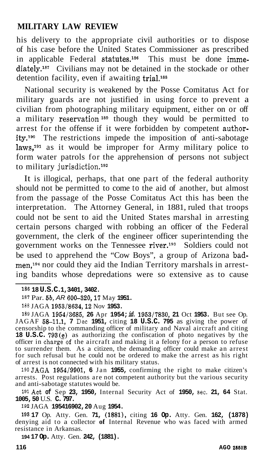his delivery to the appropriate civil authorities or to dispose of his case before the United States Commissioner as prescribed in applicable Federal statutes.<sup>186</sup> This must be done immediately.<sup>187</sup> Civilians may not be detained in the stockade or other detention facility, even if awaiting trial.<sup>188</sup>

National security is weakened by the Posse Comitatus Act for military guards are not justified in using force to prevent a civilian from photographing military equipment, either on or off a military reservation<sup>189</sup> though they would be permitted to arrest for the offense if it were forbidden by competent author $ity.^{190}$  The restrictions impede the imposition of anti-sabotage  $\text{laws}^{191}$  as it would be improper for Army military police to form water patrols for the apprehension of persons not subject to military jurisdiction.<sup>192</sup>

It is illogical, perhaps, that one part of the federal authority should not be permitted to come to the aid of another, but almost from the passage of the Posse Comitatus Act this has been the interpretation. The Attorney General, in 1881, ruled that troops could not be sent to aid the United States marshal in arresting certain persons charged with robbing an officer of the Federal government, the clerk of the engineer officer superintending the government works on the Tennessee river.<sup>193</sup> Soldiers could not be used to apprehend the "Cow Boys", a group of Arizona badmen,<sup>194</sup> nor could they aid the Indian Territory marshals in arresting bandits whose depredations were so extensive as to cause

189 JAGA **1954/3685, 26** Apr **1954;** *id.* **1953/7830, 21** Oct **1953.** But see Op. JAGAF **58-11.1, 7** Dec **1951,** citing **18 U.S.C. 795** as giving the power of censorship to the commanding officer of military and Naval aircraft and citing **18 U.S.C. 793(e)** as authorizing the confiscation of photo negatives by the officer in charge of the aircraft and making it a felony for a person to refuse to surrender them. As a citizen, the demanding officer could make an arrest for such refusal but he could not be ordered to make the arrest as his right of arrest is not connected with his military status.

190JAGA **1954/9901, 6** Jan **1955,** confirming the right to make citizen's arrests. Post regulations are not competent authority but the various security and anti-sabotage statutes would be.

191Act **of** Sep **23, 1950,** Internal Security Act of **1950,** sec. **21, 64** Stat. **1005, 50** U.S. **C. 797.** 

192 JAGA **195416902, 20** Aug **1954.** 

**<sup>193</sup>17** Op. Atty. Gen. **71, (18811,** citing **16 Op.** Atty. Gen. **162, (1878)**  denying aid to a collector **of** Internal Revenue who was faced with armed resistance in Arkansas.

**194 17 Op.** Atty. Gen. **242, (1881).** 

**<sup>186 18</sup> U.S.C. 1,3401, 3402.** 

<sup>187</sup> Par. **5b,** *AR* **600-320,17** May **1951.** 

<sup>188</sup> JAGA **1953/8634,12** Nov **1953.**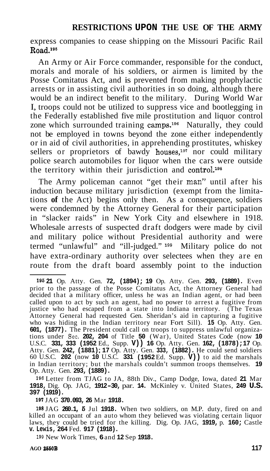express companies to cease shipping on the Missouri Pacific Rail  $Rad.<sup>195</sup>$ 

An Army or Air Force commander, responsible for the conduct, morals and morale of his soldiers, or airmen is limited by the Posse Comitatus Act, and is prevented from making prophylactic arrests or in assisting civil authorities in so doing, although there would be an indirect benefit to the military. During World War I, troops could not be utilized to suppress vice and bootlegging in the Federally established five mile prostitution and liquor control zone which surrounded training camps.<sup>196</sup> Naturally, they could not be employed in towns beyond the zone either independently or in aid of civil authorities, in apprehending prostitutes, whiskey sellers or proprietors of bawdy houses,<sup>197</sup> nor could military police search automobiles for liquor when the cars were outside the territory within their jurisdiction and control.<sup>198</sup>

The Army policeman cannot "get their man" until after his induction because military jurisdiction (exempt from the limitations **of** the Act) begins only then. As a consequence, soldiers were condemned by the Attorney General for their participation in "slacker raids" in New York City and elsewhere in 1918. Wholesale arrests of suspected draft dodgers were made by civil and military police without Presidential authority and were termed "unlawful" and "ill-judged." **lg9** Military police do not have extra-ordinary authority over selectees when they are en route from the draft board assembly point to the induction

**<sup>196</sup>**Letter from TJAG to JA, 88th Div., Camp Dodge, Iowa, dated **21** Mar **1918,** Dig. Op. JAG, **1912-30,** par. **14.** McKinley v. United States, **249 U.S. 397 (1919).** 

**<sup>197</sup>**JAG **370.093, 26** Mar **1918.** 

**<sup>198</sup>**JAG **260.1, 6** Jul **1918.** When two soldiers, on M.P. duty, fired on and killed an occupant of an auto whom they believed was violating certain liquor laws, they could be tried for the killing. Dig. Op. JAG, **1919,** p. **160;** Castle **v. Lewis, 264** Fed. **917 (1918).** 

**<sup>199</sup>**New Work Times, **6** and **12** Sep **1918.** 

**<sup>195</sup>21** Op. Atty. Gen. **72, (1894); 19** Op. Atty. Gen. **293, (1889).** Even prior to the passage of the Posse Comitatus Act, the Attorney General had decided that a military officer, unless he was an Indian agent, or had been called upon to act by such an agent, had no power to arrest a fugitive from justice who had escaped from a state into Indiana territory. (The Texas Attorney General had requested Gen. Sheridan's aid in capturing a fugitive who was hiding in the Indian territory near Fort Sill). **15** Op. Atty. Gen. **601, (1877).** The President could call on troops to suppress unlawful organizations under Sec. **202, 204** of Title **50** (War), United States Code (now **10**  U.S.C. **331, 333 (1952** Ed., Supp. **V)) 16** Op. Atty. Gen. **162, (1878); 17** Op. Atty. Gen. **242, (1881)** ; **17** Op. Atty. Gen. **333, (1882).** He could send soldiers 60 U.S.C. **202** (now **10** U.S.C. **331 (1952** Ed. Supp. **V))** to aid the marshals in Indian territory; but the marshals couldn't summon troops themselves. **19**  Op. Atty. Gen. **293, (1889).**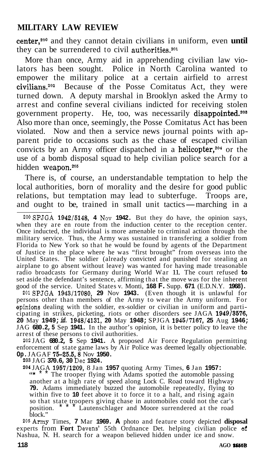center,200 and they cannot detain civilians in uniform, even **until**  they can be surrendered to civil authorities.<sup>201</sup>

More than once, Army aid in apprehending civilian law violators has been sought. Police in North Carolina wanted to empower the military police at a certain airfield to arrest civilians.2o2 Because of the Posse Comitatus Act, they were turned down. A deputy marshal in Brooklyn asked the Army to arrest and confine several civilians indicted for receiving stolen government property. He, too, was necessarily disappointed.<sup>208</sup> Also more than once, seemingly, the Posse Comitatus Act has been violated. Now and then a service news journal points with apparent pride to occasions such as the chase of escaped civilian convicts by an Army officer dispatched in a helicopter, $204$  or the use of a bomb disposal squad to help civilian police search for a hidden weapon.<sup>205</sup>

There is, of course, an understandable temptation to help the local authorities, born of morality and the desire for good public relations, but temptation may lead to subterfuge. Troops are, and ought to be, trained in small unit tactics—marching in a relations, but temptation may lead to subterfuge. Troops are, and ought to be, trained in small unit tactics—marching in a

ZOOSPJGA **1942/5148, 4** NOV **1942.** But they do have, the opinion says, when they are en route from the induction center to the reception center. Once inducted, the individual is more amenable to criminal action through the military service. Thus, the Army was sustained in transfering a soldier from Florida to New York so that he would be found by agents of the Department of Justice in the place where he was "first brought" from overseas into the United States. The soldier (already convicted and punished for stealing an airplane to go absent without leave) was wanted for having made treasonable radio broadcasts for Germany during World War 11. The court refused **to**  set aside the defendant's sentence, affirming that the move was for the inherent good of the service. United States v. Monti, **168 F.** Supp. **671** (E.D.N.Y. **1968).** 

(Even though it is unlawful for persons other than members of the Army to wear the Army uniform. For spinions dealing with the soldier, ex-soldier or civilian in uniform and participating in strikes, picketing, riots or other disorders see JAGA **1949/3576, 20** May **1949;** *id.* **1948/4131, 20** May **1948;** SPJGA **1945/7167, 25** Aug **1946;**  JAG **680.2, 5** Sep **1941.** In the author's opinion, it is better policy to leave the arrest of these persons to civil authorities. 2olSPJGA **1943/17080, 29** Nov **1943.** 

202 JAG **680.2, 5** Sep **1941.** A proposed Air Force Regulation permitting enforcement of state game laws by Air Police was deemed legally objectionable. **Op.** JAGAF **75-25.6,8** Nov **1950.** 

**203** JAG **370.6, 30** Dec **1924.** 

**<sup>204</sup>**JAGA **1957/1209,** 8 Jan **1957** quoting Army Times, **6** Jan **1957:** 

The trooper flying with Adams spotted the automoble passing another at a high rate of speed along Lock C. Road toward Highway **79.** Adams immediately buzzed the automobile repeatedly, flying to within five to 10 feet above it to force it to a halt, and rising again so that state troopers giving chase in automobiles could not the car's<br>position.  $\overline{a}$  Lautenschlager and Moore surrendered at the road Lautenschlager and Moore surrendered at the road block."

205Army Times, **7** Mar **1969. A** photo and feature story depicted **disposal**  experts from **Fort** Devens' 55th Ordnance Det. helping civilian police **of**  Nashua, N. H. search for a weapon believed hidden under ice and snow.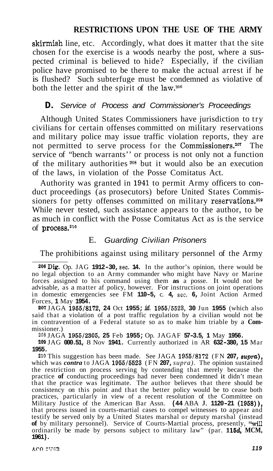skirmish line, etc. Accordingly, what does it matter that the site chosen for the exercise is a woods nearby the post, where a suspected criminal is believed to hide? Especially, if the civilian police have promised to be there to make the actual arrest if he is flushed? Such subterfuge must be condemned as violative of both the letter and the spirit of the law. $206$ 

#### **D.** *Service of Process and Commissioner's Proceedings*

Although United States Commissioners have jurisdiction to try civilians for certain offenses committed on military reservations and military police may issue traffic violation reports, they are not permitted to serve process for the Commissioners.<sup>207</sup> The service of "bench warrants'' or process is not only not a function of the military authorities **208** but it would also be an execution of the laws, in violation of the Posse Comitatus Act.

Authority was granted in **1941** to permit Army officers to conduct proceedings (as prosecutors) before United States Commissioners for petty offenses committed on military reservations.<sup>209</sup> While never tested, such assistance appears to the author, to be as much in conflict with the Posse Comitatus Act as is the service of process.21o

#### E. *Guarding Civilian Prisoners*

The prohibitions against using military personnel of the Army

**<sup>207</sup>**JAGA **1955/8172, 24** Oct **1955;** *id.* **1955/5523, 30** Jun **1955** (which also said that a violation of a post traffic regulation by a civilian would not be in contravention of a Federal statute so as to make him triable by a **Com-** missioner.)

208 JAGA **1955/2305, 25** Feb **1955;** Op. JAGAF **57-3.5, 1** May **1956.** 

209 JAG **000.51,** 8 Nov **1941.** Currently authorized in AR **632-380, 15** Mar **1955.** 

210 This suggestion has been made. See JAGA **1955/8172** (FN **207,** *sulrr&),*  which was *contra* to JAGA **1955/5523** (FN **207,** *supra).* The opinion sustained the restriction on process serving by contending that merely because the practice of conducting proceedings had never been condemned it didn't mean that the practice was legitimate. The author believes that there should be consistency on this point and that the better policy would be to cease both practices, particularly in view of a recent resolution of the Committee on Military Justice of the American Bar Assn. **(44** ABA J. **1120-21 (1968)),**  that process issued in courts-martial cases to compel witnesses to appear and testify be served only by a United States marshal or deputy marshal (instead of by military personnel). Service of Courts-Martial process, presently, "will ordinarily be made by persons subject to military law" (par. 115d, MCM, **1961).** 

<sup>206</sup>Dig, Op. JAG **1912-30,** sec. **14.** In the author's opinion, there would be no legal objection to an Army commander who might have Navy or Marine forces assigned to his command using them **as** a posse. It would not be advisable, as a matter af policy, however. For instructions on joint operations in domestic emergencies see FM **110-5,** c. **4,** sec. **6,** Joint Action Armed Forces, **1** May **1954.**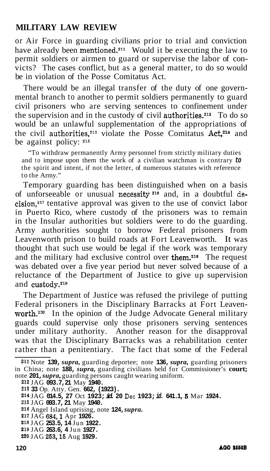or Air Force in guarding civilians prior to trial and conviction have already been mentioned.<sup>211</sup> Would it be executing the law to permit soldiers or airmen to guard or supervise the labor of convicts? The cases conflict, but as a general matter, to do so would be in violation of the Posse Comitatus Act.

There would be an illegal transfer of the duty of one governmental branch to another to permit soldiers permanently to guard civil prisoners who are serving sentences to confinement under the supervision and in the custody of civil authorities.<sup>212</sup> To do so would be an unlawful supplementation of the appropriations of the civil authorities,<sup>213</sup> violate the Posse Comitatus Act,<sup>214</sup> and be against policy: **<sup>215</sup>**

"To withdraw permanently Army personnel from strictly military duties and to impose upon them the work of a civilian watchman is contrary *to*  the spirit and intent, if not the letter, of numerous statutes with reference to the Army."

Temporary guarding has been distinguished when on a basis of unforseeable or unusual necessity<sup>216</sup> and, in a doubtful de $cision.<sup>217</sup>$  tentative approval was given to the use of convict labor in Puerto Rico, where custody of the prisoners was to remain in the Insular authorities but soldiers were to do the guarding. Army authorities sought to borrow Federal prisoners from Leavenworth prison to build roads at Fort Leavenworth. It was thought that such use would be legal if the work was temporary and the military had exclusive control over them.<sup>218</sup> The request was debated over a five year period but never solved because of a reluctance of the Department of Justice to give up supervision and custody.<sup>219</sup>

The Department of Justice was refused the privilege of putting Federal prisoners in the Disciplinary Barracks at Fort Leavenworth.<sup>220</sup> In the opinion of the Judge Advocate General military guards could supervise only those prisoners serving sentences under military authority. Another reason for the disapproval was that the Disciplinary Barracks was a rehabilitation center rather than a penitentiary. The fact that some of the Federal

**212** JAG **093.7, 21** May **1940.** 

**<sup>217</sup>**JAG **684,l** Apr **1926.** 

- **<sup>219</sup>**JAG **263.6, 4** Jun **1927.**
- **220** JAG **263,16** Aug **1929.**

**<sup>211</sup>**Note **139,** *supra,* guarding deportee; note **136,** *supra,* guarding prisoners in China; note **188,** *supra,* guarding civilians held for Commissioner's **court;**  note **201,** *supra,* guarding persons caught wearing uniform.

**<sup>218</sup>33** Op. Atty. Gen. **662, (1923).** 

**<sup>214</sup>**JAG **014.5, 27** Oct **1923;** *id.* **20** Dec **1923;** *id.* **641.1, 6** Mar **1924. 216** JAG **093.7, 21** May **1940.** 

**<sup>216</sup>**Angel Island uprising, note **124,** *supra.* 

**<sup>218</sup>** JAG **253.5, 14** Jun **1922.**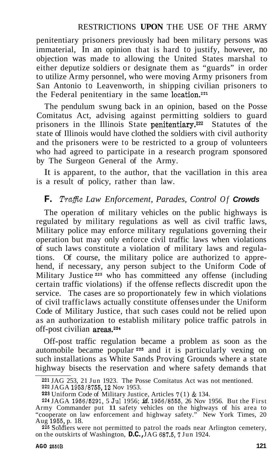penitentiary prisoners previously had been military persons was immaterial, In an opinion that is hard to justify, however, no objection was made to allowing the United States marshal to either deputize soldiers or designate them as "guards" in order to utilize Army personnel, who were moving Army prisoners from San Antonio to Leavenworth, in shipping civilian prisoners to the Federal penitentiary in the same location.<sup>221</sup>

The pendulum swung back in an opinion, based on the Posse Comitatus Act, advising against permitting soldiers to guard prisoners in the Illinois State penitentiary.<sup>222</sup> Statutes of the state of Illinois would have clothed the soldiers with civil authority and the prisoners were to be restricted to a group of volunteers who had agreed to participate in a research program sponsored by The Surgeon General of the Army.

It is apparent, to the author, that the vacillation in this area is a result of policy, rather than law.

## **F.** *Traffic Law Enforcement, Parades, Control Of Crowds*

The operation of military vehicles on the public highways is regulated by military regulations as well as civil traffic laws, Military police may enforce military regulations governing their operation but may only enforce civil traffic laws when violations of such laws constitute a violation of military laws and regulations. Of course, the military police are authorized to apprehend, if necessary, any person subject to the Uniform Code of Military Justice **223** who has committeed any offense (including certain traffic violations) if the offense reflects discredit upon the service. The cases are so proportionately few in which violations of civil traffic laws actually constitute offenses under the Uniform Code of Military Justice, that such cases could not be relied upon as an authorization to establish military police traffic patrols in off-post civilian areas.224

Off-post traffic regulation became a problem as soon as the automobile became popular **225** and it is particularly vexing on such installations as White Sands Proving Grounds where a state highway bisects the reservation and where safety demands that

<sup>221</sup> JAG 253, 21 Jun 1923. The Posse Comitatus Act was not mentioned.

<sup>222</sup> JAGA 1953/8755,12 Nov 1953.

**<sup>22</sup>s** Uniform Code of Military Justice, Articles **7** (1) & 134.

<sup>224</sup> JAGA 1956/5291, 5 Jul 1956; *id.* 1956/8555, 26 Nov 1956. But the First Army Commander put 11 safety vehicles on the highways of his area to "cooperate on law enforcement and highway safety." New York Times, 20 Aug 1955, p. 18.

<sup>&</sup>lt;sup>226</sup> Soldiers were not permitted to patrol the roads near Arlington cemetery, on the outskirts of Washington, **D.C.**, JAG 687.5, 7 Jun 1924.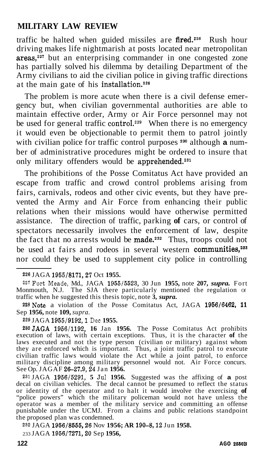traffic be halted when guided missiles are fired.<sup>226</sup> Rush hour driving makes life nightmarish at posts located near metropolitan areas,<sup>227</sup> but an enterprising commander in one congested zone has partially solved his dilemma by detailing Department of the Army civilians to aid the civilian police in giving traffic directions at the main gate of his installation.228

The problem is more acute when there is a civil defense emergency but, when civilian governmental authorities are able to maintain effective order, Army or Air Force personnel may not be used for general traffic control.<sup>229</sup> When there is no emergency it would even be objectionable to permit them to patrol jointly with civilian police for traffic control purposes **230** although **a** number of administrative procedures might be ordered to insure that only military offenders would be apprehended.<sup>231</sup>

The prohibitions of the Posse Comitatus Act have provided an escape from traffic and crowd control problems arising from fairs, carnivals, rodeos and other civic events, but they have prevented the Army and Air Force from enhancing their public relations when their missions would have otherwise permitted assistance. The direction of traffic, parking **of** cars, or control of spectators necessarily involves the enforcement of law, despite the fact that no arrests would be made.232 Thus, troops could not be used at fairs and rodeos in several western communities,<sup>233</sup> nor could they be used to supplement city police in controlling

227Fort Meade, Md., JAGA **1955/5523,** 30 Jun **1955,** note **207,** *supra.* Fort Monmouth, N.J. The SJA there particularly mentioned the regulation or traffic when he suggested this thesis topic, note **3,** *supra.* 

228Note a violation of the Posse Comitatus Act, JAGA **1956/6462, 11**  Sep **1956,** note **109,** *supra.* 

**<sup>229</sup>**JAGA **1955/9192,1** Dec **1955.** 

23oJAGA **1956/1192, 16** Jan **1956.** The Posse Comitatus Act prohibits execution of laws, with certain exceptions. Thus, it is the character of the laws executed and not the type person (civilian or military) against whom they are enforced which is important. Thus, a joint traffic patrol to execute civilian traffic laws would violate the Act while a joint patrol, to enforce military discipline among military personnel would not. Air Force concurs. See Op. JAGAF 26-27.9, 24 Jan 1956.

231 JAGA **1956/5291, 5** Jul **1956.** Suggested was the affixing of **a** post decal on civilian vehicles. The decal cannot be presumed to reflect the status or identity of the operator and to halt it would involve the exercising **of**  "police powers" which the military policeman would not have unless the operator was a member of the military service and committing an offense punishable under the UCMJ. From a claims and public relations standpoint the proposed plan was condemned.

232 JAGA **1956/8555,26** Nov **1956; AR 190-8,12** Jun **1958.** 

233 JAGA **1956/7271,20** Sep **1956,** 

**<sup>226</sup>**JAGA **1955/8171,27** Oct **1955.**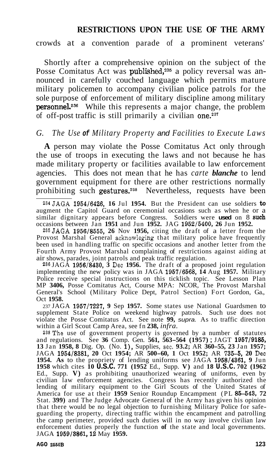crowds at a convention parade of a prominent veterans'

Shortly after a comprehensive opinion on the subject of the Posse Comitatus Act was published,<sup>235</sup> a policy reversal was announced in carefully couched language which permits mature military policemen to accompany civilian police patrols for the sole purpose of enforcement of military discipline among military **personnel.**<sup>236</sup> While this represents a major change, the problem of off-post traffic is still primarily a civilian one.<sup>237</sup>

#### *G. The Use of Military Property and Facilities to Execute Laws*

**A** person may violate the Posse Comitatus Act only through the use of troops in executing the laws and not because he has made military property or facilities available to law enforcement agencies. This does not mean that he has *carte blanche* to lend government equipment for there are other restrictions normally prohibiting such gestures.<sup>238</sup> Nevertheless, requests have been

235JAGA **1956/8555, 26** Nov **1956,** citing the draft of a letter from the Provost Marshal General acknowleging that military police have frequently been used in handling traffic on specific occasions and another letter from the Fourth Army Provost Marshal complaining of restrictions against aiding at air shows, parades, joint patrols and peak traffic regulation.

236 JAGA **1956/8430, 3** Dec **1956.** The draft of a proposed joint regulation implementing the new policy was in JAGA **1957/6568, 14** Aug **1957.** Military Police receive special instructions on this ticklish topic. See Lesson Plan MP **3406,** Posse Comitatus Act, Course MPA: NCOR, The Provost Marshal General's School (Military Police Dept, Patrol Section) Fort Gordon, Ga., Oct **1958.** 

237 JAGA **1957/7227, 9** Sep **1957.** Some states use National Guardsmen to supplement State Police on weekend highway patrols. Such use does not violate the Posse Comitatus Act. See note **99,** *supra.* As to traffic direction within a Girl Scout Camp Area, see fn **238,** *infra.* 

238The use of government property is governed by a number of statutes and regulations. See **36** Comp. Gen. **561, 563-564 (1957)** ; JAGT **1957/9185, <sup>13</sup>**Jan **1958, 8** Dig. Op. (No. **l),** Supplies, sec. **93.2;** AR **360-55, 23** Jan **1957;**  JAGA **1954/8381, 20** Oct **1954;** AR **500-60, 1** Oct **1952;** AR **735-5, 20** Dec **1954. As** to the propriety of lending uniforms see JAGA **1958/4361, 9** Jun **1958** which cites **10 U.S.C. 771 (1952** Ed., Supp. **V)** and **18 U.S.C. 702 (1962**  Ed., Supp. **V)** as prohibiting unauthorized wearing of uniforms, even by civilian law enforcement agencies. Congress has recently authorized the lending of military equipment to the Girl Scouts of the United States of America for use at their **1959** Senior Roundup Encampment (PL **85-543, 72**  Stat. **399**) and The Judge Advocate General of the Army has given his opinion that there would be no legal objection to furnishing Military Police for safeguarding the property, directing traffic within the encampment and patrolling the camp perimeter, provided such duties will in no way involve civilian law enforcement duties properly the function **of** the state and local governments. JAGA **1959/3861,12** May **1959.** 

<sup>234</sup>JAGA **1954/6426, 16** Jul **1954.** But the President can use soldiers **to**  augment the Capitol Guard on ceremonial occasions such as when he or a similar dignitary appears before Congress. Soldiers were **used** on 8 **such**  occasions between Jan **1951** and Jun **1952.** JAG **1952/5400, 26** Jun **1952.**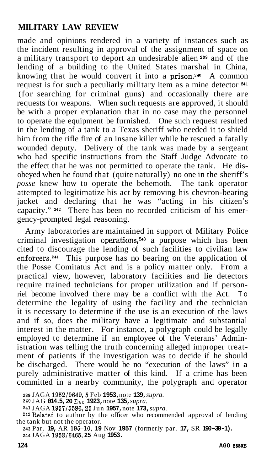made and opinions rendered in a variety of instances such as the incident resulting in approval of the assignment of space on a military transport to deport an undesirable alien **239** and of the lending of a building to the United States marshal in China, knowing that he would convert it into a prison.<sup>240</sup> A common request is for such a peculiarly military item as a mine detector **<sup>241</sup>** (for searching for criminal guns) and occasionally there are requests for weapons. When such requests are approved, it should be with a proper explanation that in no case may the personnel to operate the equipment be furnished. One such request resulted in the lending of a tank to a Texas sheriff who needed it to shield him from the rifle fire of an insane killer while he rescued a fatally wounded deputy. Delivery of the tank was made by a sergeant who had specific instructions from the Staff Judge Advocate to the effect that he was not permitted to operate the tank. He disobeyed when he found that  $(\text{quite naturally})$  no one in the sheriff's *posse* knew how to operate the behemoth. The tank operator attempted to legitimatize his act by removing his chevron-bearing jacket and declaring that he was "acting in his citizen's capacity." **242** There has been no recorded criticism of his emergency-prompted legal reasoning.

Army laboratories are maintained in support of Military Police criminal investigation operations,<sup>243</sup> a purpose which has been cited to discourage the lending of such facilities to civilian law enforcers.<sup>244</sup> This purpose has no bearing on the application of the Posse Comitatus Act and is a policy matter only. From a practical view, however, laboratory facilities and lie detectors require trained technicians for proper utilization and if personriel become involved there may be a conflict with the Act. To determine the legality of using the facility and the technician it is necessary to determine if the use is an execution of the laws and if so, does the military have a legitimate and substantial interest in the matter. For instance, a polygraph could be legally employed to determine if an employee of the Veterans' Administration was telling the truth concerning alleged improper treatment of patients if the investigation was to decide if he should be discharged. There would be no "execution of the laws" in **a**  purely administrative matter of this kind. If a crime has been committed in a nearby community, the polygraph and operator

**<sup>239</sup>**JAGA **1952/9649,5** Feb **1953,** note **139,** *supra.* 

**<sup>240</sup>**JAG **014.5, 20** Dec **1923,** note **135,** *supra.* 

**<sup>241</sup>**JAGA **195715586,25** Jun **1957,** note **173,** *supra.* 

<sup>242</sup> Related to author by the officer who recommended approval of lending the tank but not the operator.

**<sup>243</sup>**Par. **19,** AR **195-10, 19** Nov **1957** (formerly par. **17,** SR **190-30-1). <sup>244</sup>**JAGA **195316465) 25** Aug **1953.**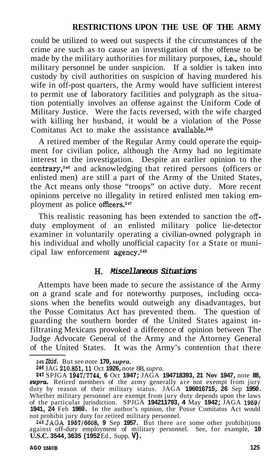could be utilized to weed out suspects if the circumstances of the crime are such as to cause an investigation of the offense to be made by the military authorities for military purposes, i.e., should military personnel be under suspicion. If a soldier is taken into custody by civil authorities on suspicion of having murdered his wife in off-post quarters, the Army would have sufficient interest to permit use of laboratory facilities and polygraph as the situation potentially involves an offense against the Uniform Code of Military Justice. Were the facts reversed, with the wife charged with killing her husband, it would be a violation of the Posse Comitatus Act to make the assistance available.<sup>245</sup>

A retired member of the Regular Army could operate the equipment for civilian police, although the Army had no legitimate interest in the investigation. Despite an earlier opinion to the contrary,<sup>246</sup> and acknowledging that retired persons (officers or enlisted men) are still a part of the Army of the United States, the Act means only those "troops" on active duty. More recent opinions perceive no illegality in retired enlisted men taking employment as police officers.247

This realistic reasoning has been extended to sanction the offduty employment of an enlisted military police lie-detector examiner in voluntarily operating a civilian-owned polygraph in his individual and wholly unofficial capacity for a State or municipal law enforcement agency.248

#### H. *Miscellaneous Situations*

Attempts have been made to secure the assistance of the Army on a grand scale and for noteworthy purposes, including occasions when the benefits would outweigh any disadvantages, but the Posse Comitatus Act has prevented them. The question of guarding the southern border of the United States against infiltrating Mexicans provoked a difference of opinion between The Judge Advocate General of the Army and the Attorney General of the United States. It was the Army's contention that there

**<sup>245</sup>***Ibid.* But see note **170,** *supra.* 

**<sup>248</sup>**JAG **210.861,ll** Oct **1926,** note 88, *supra.* 

**<sup>247</sup>**SPJGA **19471'7744, 6** Oct **1947;** JAGA **194718393, 21 Nov 1947,** note **88,**  *supra.* Retired members of the army generally are not exempt from jury duty by reason of their military status. JAGA **196016715, 26** Sep **1950.**  Whether military personnel are exempt from jury duty depends upon the laws of the particular jurisdiction. SPJGA **194211793, 4** May **1942;** JAGA **19591 1941, 24** Feb **1969.** In the author's opinion, the Posse Comitatus Act would not prohibit jury duty for retired military personnel.

<sup>24</sup>gJAGA **1957/6608, 9** Sep **1957.** But there are some other prohibitions against off-duty employment of military personnel. See, for example, **10 U.S.C. 3544,3635 (1952** Ed., Supp. **V).**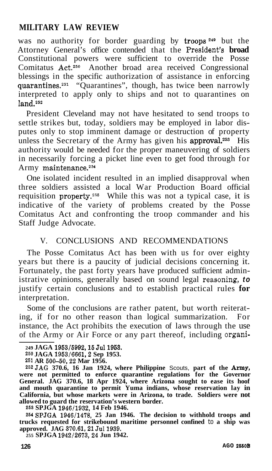was no authority for border guarding by troops<sup>249</sup> but the Attorney General's office contended that the President's **broad**  Constitutional powers were sufficient to override the Posse Comitatus  $Act.^{250}$  Another broad area received Congressional blessings in the specific authorization of assistance in enforcing quarantines.<sup>251</sup> "Quarantines", though, has twice been narrowly interpreted to apply only to ships and not to quarantines on  $land$ <sub>252</sub>

President Cleveland may not have hesitated to send troops to settle strikes but, today, soldiers may be employed in labor disputes only to stop imminent damage or destruction of property unless the Secretary of the Army has given his approval.<sup>253</sup> His authority would be needed for the proper maneuvering of soldiers in necessarily forcing a picket line even to get food through for Army maintenance.<sup>254</sup>

One isolated incident resulted in an implied disapproval when three soldiers assisted a local War Production Board official requisition property.<sup>255</sup> While this was not a typical case, it is indicative of the variety of problems created by the Posse Comitatus Act and confronting the troop commander and his Staff Judge Advocate.

#### V. CONCLUSIONS AND RECOMMENDATIONS

The Posse Comitatus Act has been with us for over eighty years but there is a paucity of judicial decisions concerning it. Fortunately, the past forty years have produced sufficient administrative opinions, generally based on sound legal reasoning, *to*  justify certain conclusions and to establish practical rules **for**  interpretation.

Some of the conclusions are rather patent, but worth reiterating, if for no other reason than logical summarization. For instance, the Act prohibits the execution of laws through the use of the Army or Air Force or any part thereof, including organi-

**252JAG 370.6, 16 Jan 1924, where Philippine** Scouts, **part of the Amy, were not permitted to enforce quarantine regulations for the Governor General. JAG 370.6, 18 Apr 1924, where Arizona sought to ease its hoof and mouth quarantine to permit Yuma indians, whose reservation lay in California, but whose markets were in Arizona, to trade. Soldiers were not allowed to guard the reservation's western border.** 

**253 SPJGA 1946/1932, 14 Feb 1946.** 

**254SPJGA 1946/1478, 25 Jan 1946. The decision to withhold troops and trucks requested for strikebound maritime personnel confined** to **a ship was**  approved. JAG 370.61, 21 Jul 1939.

**255 SPJGA 1942/2673,24 Jun 1942.** 

<sup>249</sup> JAGA 1953/5992, 15 Jul 1953.

**<sup>250</sup> JAGA 1953/6661,2 Sep 1953.** 

**<sup>251</sup> AR 500-50,22 Mar 1956.**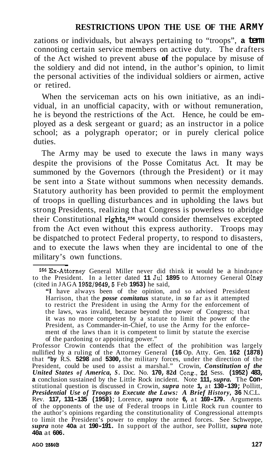zations or individuals, but always pertaining to "troops", **a term**  connoting certain service members on active duty. The drafters of the Act wished to prevent abuse **of** the populace by misuse of the soldiery and did not intend, in the author's opinion, to limit the personal activities of the individual soldiers or airmen, active or retired.

When the serviceman acts on his own initiative, as an individual, in an unofficial capacity, with or without remuneration, he is beyond the restrictions of the Act. Hence, he could be employed as a desk sergeant or guard; as an instructor in a police school; as a polygraph operator; or in purely clerical police duties.

The Army may be used to execute the laws in many ways despite the provisions of the Posse Comitatus Act. It may be summoned by the Governors (through the President) or it may be sent into a State without summons when necessity demands. Statutory authority has been provided to permit the employment of troops in quelling disturbances and in upholding the laws but strong Presidents, realizing that Congress is powerless to abridge their Constitutional rights,256 would consider themselves excepted from the Act even without this express authority. Troops may be dispatched to protect Federal property, to respond to disasters, and to execute the laws when they are incidental to one of the military's own functions.

**"I** have always been of the opinion, and so advised President Harrison, that the *posse comitatus* statute, in *so* far as it attempted to restrict the President in using the Army for the enforcement of the laws, was invalid, because beyond the power of Congress; that it was no more competent by a statute to limit the power of the President, as Commander-in-Chief, to use the Army for the enforcement of the laws than it is competent to limit by statute the exercise of the pardoning or appointing power."

Professor Crowin contends that the effect of the prohibition was largely nullified by a ruling of the Attorney General **(16** Op. Atty. Gen. **162 (1878)**  that **"by** R.S. **5298** and **5300,** the military forces, under the direction of the President, could be used to assist a marshal." Crowin, *Constitution of the*  United States of America, S. Doc. No. 170, 82d Cong., 2d Sess. (1952) 483, a conclusion sustained by the Little Rock incident. Note 111, supra. The Con-**2** conclusion sustained by the ERRE ROCK merdent. Note 111/suppla. The constitutional question is discussed in Crowin, supra note 1, at 130–139; Pollitt, *Presidential Use of Troops to Execute the Laws: A Brief History, 3* Rev. **117, 131-135 (1958)** ; Lorence, *supra* note **6,** at **169-179.** Arguments of the opponents of the use of Federal troops in Little Rock run counter to the author's opinions regarding the constitutionality of Congressional attempts to limit the President's power to employ the armed forces. See Schweppe, *supra* note **40a** at **190-191.** In support of the author, see Pollitt, *supra* note **40a** at **606.** 

**AGO 2660B 127** 

<sup>256</sup>Ex-Attorney General Miller never did think it would be a hindrance to the President. In a letter dated **11** Jul **1895** to Attorney General Olney (cited in JAGA **1952/9649,5** Feb **1953)** he said,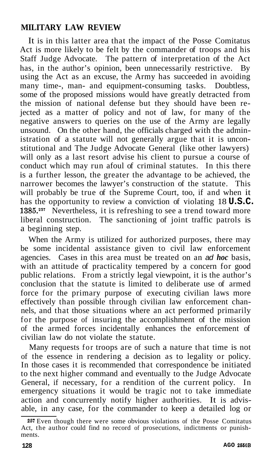It is in this latter area that the impact of the Posse Comitatus Act is more likely to be felt by the commander of troops and his Staff Judge Advocate. The pattern of interpretation of the Act has, in the author's opinion, been unnecessarily restrictive. By using the Act as an excuse, the Army has succeeded in avoiding many time-, man- and equipment-consuming tasks. Doubtless, some of the proposed missions would have greatly detracted from the mission of national defense but they should have been rejected as a matter of policy and not of law, for many of the negative answers to queries on the use of the Army are legally unsound. On the other hand, the officials charged with the administration of a statute will not generally argue that it is unconstitutional and The Judge Advocate General (like other lawyers) will only as a last resort advise his client to pursue a course of conduct which may run afoul of criminal statutes. In this there is a further lesson, the greater the advantage to be achieved, the narrower becomes the lawyer's construction of the statute. This will probably be true of the Supreme Court, too, if and when it has the opportunity to review a conviction of violating 18 **U.S.C. 1385.257** Nevertheless, it is refreshing to see a trend toward more liberal construction. The sanctioning of joint traffic patrols is a beginning step.

When the Army is utilized for authorized purposes, there may be some incidental assistance given to civil law enforcement agencies. Cases in this area must be treated on an *ad hoc* basis, with an attitude of practicality tempered by a concern for good public relations. From a strictly legal viewpoint, it is the author's conclusion that the statute is limited to deliberate use of armed force for the primary purpose of executing civilian laws more effectively than possible through civilian law enforcement channels, and that those situations where an act performed primarily for the purpose of insuring the accomplishment of the mission of the armed forces incidentally enhances the enforcement of civilian law do not violate the statute.

Many requests for troops are of such a nature that time is not of the essence in rendering a decision as to legality or policy. In those cases it is recommended that correspondence be initiated to the next higher command and eventually to the Judge Advocate General, if necessary, for a rendition of the current policy. In emergency situations it would be tragic not to take immediate action and concurrently notify higher authorities. It is advisable, in any case, for the commander to keep a detailed log or

**<sup>257</sup>**Even though there were some obvious violations of the Posse Comitatus Act, the author could find no record of prosecutions, indictments or punishments.